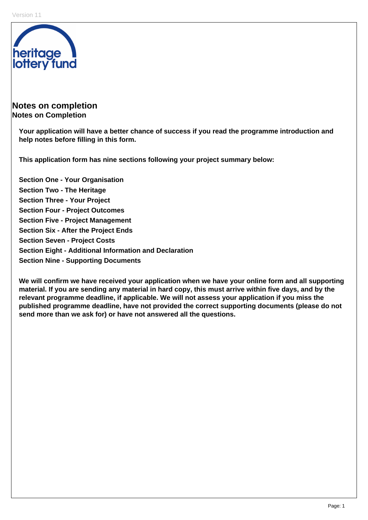

# **Notes on completion Notes on Completion**

**Your application will have a better chance of success if you read the programme introduction and help notes before filling in this form.** 

**This application form has nine sections following your project summary below:** 

**Section One - Your Organisation Section Two - The Heritage Section Three - Your Project Section Four - Project Outcomes Section Five - Project Management Section Six - After the Project Ends Section Seven - Project Costs Section Eight - Additional Information and Declaration Section Nine - Supporting Documents** 

**We will confirm we have received your application when we have your online form and all supporting material. If you are sending any material in hard copy, this must arrive within five days, and by the relevant programme deadline, if applicable. We will not assess your application if you miss the published programme deadline, have not provided the correct supporting documents (please do not send more than we ask for) or have not answered all the questions.**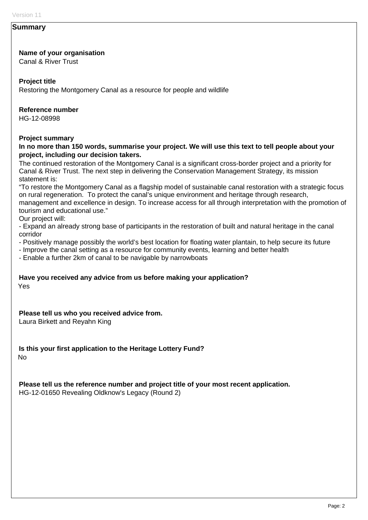#### **Summary**

#### **Name of your organisation**

Canal & River Trust

#### **Project title**

Restoring the Montgomery Canal as a resource for people and wildlife

#### **Reference number**

HG-12-08998

#### **Project summary**

**In no more than 150 words, summarise your project. We will use this text to tell people about your project, including our decision takers.** 

The continued restoration of the Montgomery Canal is a significant cross-border project and a priority for Canal & River Trust. The next step in delivering the Conservation Management Strategy, its mission statement is:

"To restore the Montgomery Canal as a flagship model of sustainable canal restoration with a strategic focus on rural regeneration. To protect the canal's unique environment and heritage through research, management and excellence in design. To increase access for all through interpretation with the promotion of tourism and educational use."

Our project will:

- Expand an already strong base of participants in the restoration of built and natural heritage in the canal corridor

- Positively manage possibly the world's best location for floating water plantain, to help secure its future

- Improve the canal setting as a resource for community events, learning and better health

- Enable a further 2km of canal to be navigable by narrowboats

#### **Have you received any advice from us before making your application?**  Yes

**Please tell us who you received advice from.** 

Laura Birkett and Reyahn King

**Is this your first application to the Heritage Lottery Fund?**  No

**Please tell us the reference number and project title of your most recent application.**  HG-12-01650 Revealing Oldknow's Legacy (Round 2)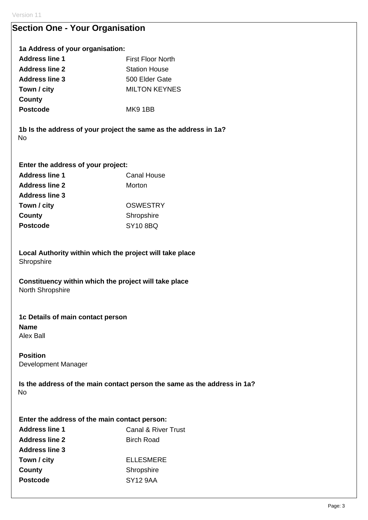# **Section One - Your Organisation**

## **1a Address of your organisation:**

| <b>Address line 1</b> | First Floor North    |
|-----------------------|----------------------|
| <b>Address line 2</b> | <b>Station House</b> |
| <b>Address line 3</b> | 500 Elder Gate       |
| Town / city           | <b>MILTON KEYNES</b> |
| County                |                      |
| <b>Postcode</b>       | MK9 1BB              |

**1b Is the address of your project the same as the address in 1a?**  No

# **Enter the address of your project:**

| <b>Address line 1</b> | Canal House          |  |  |
|-----------------------|----------------------|--|--|
| <b>Address line 2</b> | Morton               |  |  |
| <b>Address line 3</b> |                      |  |  |
| Town / city           | <b>OSWESTRY</b>      |  |  |
| County                | Shropshire           |  |  |
| <b>Postcode</b>       | SY <sub>10</sub> 8BQ |  |  |

**Local Authority within which the project will take place Shropshire** 

**Constituency within which the project will take place**  North Shropshire

# **1c Details of main contact person**

**Name**  Alex Ball

## **Position**

Development Manager

**Is the address of the main contact person the same as the address in 1a?**  No

| Enter the address of the main contact person: |                                |  |  |  |
|-----------------------------------------------|--------------------------------|--|--|--|
| <b>Address line 1</b>                         | <b>Canal &amp; River Trust</b> |  |  |  |
| <b>Address line 2</b>                         | <b>Birch Road</b>              |  |  |  |
| <b>Address line 3</b>                         |                                |  |  |  |
| Town / city                                   | <b>ELLESMERE</b>               |  |  |  |
| County                                        | Shropshire                     |  |  |  |
| <b>Postcode</b>                               | <b>SY12 9AA</b>                |  |  |  |
|                                               |                                |  |  |  |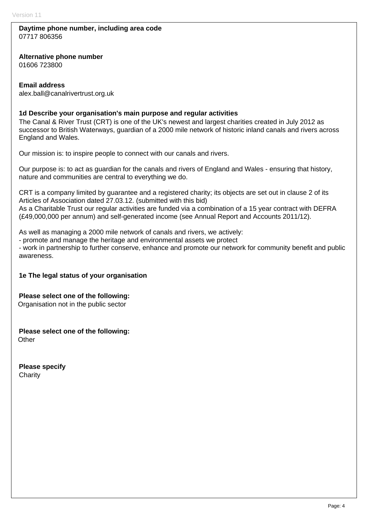#### **Daytime phone number, including area code**  07717 806356

**Alternative phone number** 

01606 723800

### **Email address**

alex.ball@canalrivertrust.org.uk

### **1d Describe your organisation's main purpose and regular activities**

The Canal & River Trust (CRT) is one of the UK's newest and largest charities created in July 2012 as successor to British Waterways, guardian of a 2000 mile network of historic inland canals and rivers across England and Wales.

Our mission is: to inspire people to connect with our canals and rivers.

Our purpose is: to act as guardian for the canals and rivers of England and Wales - ensuring that history, nature and communities are central to everything we do.

CRT is a company limited by guarantee and a registered charity; its objects are set out in clause 2 of its Articles of Association dated 27.03.12. (submitted with this bid) As a Charitable Trust our regular activities are funded via a combination of a 15 year contract with DEFRA

(£49,000,000 per annum) and self-generated income (see Annual Report and Accounts 2011/12).

As well as managing a 2000 mile network of canals and rivers, we actively:

- promote and manage the heritage and environmental assets we protect

- work in partnership to further conserve, enhance and promote our network for community benefit and public awareness.

#### **1e The legal status of your organisation**

**Please select one of the following:**  Organisation not in the public sector

**Please select one of the following: Other** 

**Please specify Charity**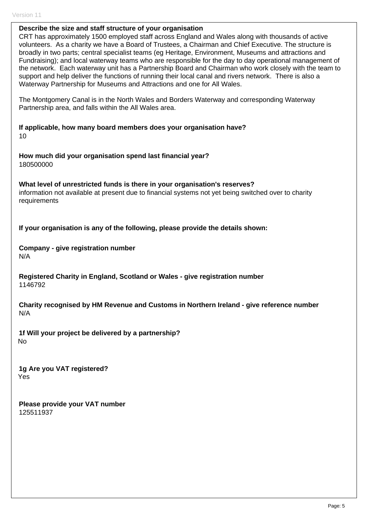#### **Describe the size and staff structure of your organisation**

CRT has approximately 1500 employed staff across England and Wales along with thousands of active volunteers. As a charity we have a Board of Trustees, a Chairman and Chief Executive. The structure is broadly in two parts; central specialist teams (eg Heritage, Environment, Museums and attractions and Fundraising); and local waterway teams who are responsible for the day to day operational management of the network. Each waterway unit has a Partnership Board and Chairman who work closely with the team to support and help deliver the functions of running their local canal and rivers network. There is also a Waterway Partnership for Museums and Attractions and one for All Wales.

The Montgomery Canal is in the North Wales and Borders Waterway and corresponding Waterway Partnership area, and falls within the All Wales area.

**If applicable, how many board members does your organisation have?**  10

**How much did your organisation spend last financial year?**  180500000

**What level of unrestricted funds is there in your organisation's reserves?**  information not available at present due to financial systems not yet being switched over to charity requirements

**If your organisation is any of the following, please provide the details shown:** 

**Company - give registration number**  N/A

**Registered Charity in England, Scotland or Wales - give registration number**  1146792

**Charity recognised by HM Revenue and Customs in Northern Ireland - give reference number**  N/A

**1f Will your project be delivered by a partnership?**  No

**1g Are you VAT registered?**  Yes

**Please provide your VAT number**  125511937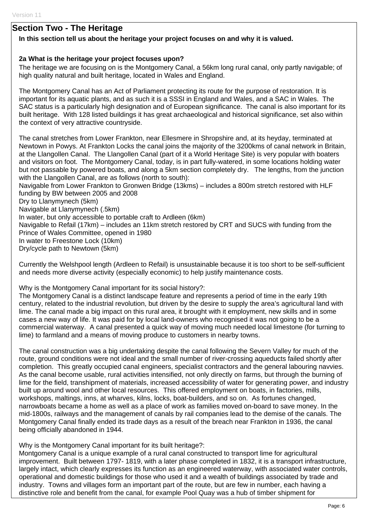# **Section Two - The Heritage**

#### **In this section tell us about the heritage your project focuses on and why it is valued.**

#### **2a What is the heritage your project focuses upon?**

The heritage we are focusing on is the Montgomery Canal, a 56km long rural canal, only partly navigable; of high quality natural and built heritage, located in Wales and England.

The Montgomery Canal has an Act of Parliament protecting its route for the purpose of restoration. It is important for its aquatic plants, and as such it is a SSSI in England and Wales, and a SAC in Wales. The SAC status is a particularly high designation and of European significance. The canal is also important for its built heritage. With 128 listed buildings it has great archaeological and historical significance, set also within the context of very attractive countryside.

The canal stretches from Lower Frankton, near Ellesmere in Shropshire and, at its heyday, terminated at Newtown in Powys. At Frankton Locks the canal joins the majority of the 3200kms of canal network in Britain, at the Llangollen Canal. The Llangollen Canal (part of it a World Heritage Site) is very popular with boaters and visitors on foot. The Montgomery Canal, today, is in part fully-watered, in some locations holding water but not passable by powered boats, and along a 5km section completely dry. The lengths, from the junction with the Llangollen Canal, are as follows (north to south):

Navigable from Lower Frankton to Gronwen Bridge (13kms) – includes a 800m stretch restored with HLF funding by BW between 2005 and 2008 Dry to Llanymynech (5km) Navigable at Llanymynech (.5km) In water, but only accessible to portable craft to Ardleen (6km) Navigable to Refail (17km) – includes an 11km stretch restored by CRT and SUCS with funding from the Prince of Wales Committee, opened in 1980 In water to Freestone Lock (10km) Dry/cycle path to Newtown (5km)

Currently the Welshpool length (Ardleen to Refail) is unsustainable because it is too short to be self-sufficient and needs more diverse activity (especially economic) to help justify maintenance costs.

Why is the Montgomery Canal important for its social history?:

The Montgomery Canal is a distinct landscape feature and represents a period of time in the early 19th century, related to the industrial revolution, but driven by the desire to supply the area's agricultural land with lime. The canal made a big impact on this rural area, it brought with it employment, new skills and in some cases a new way of life. It was paid for by local land-owners who recognised it was not going to be a commercial waterway. A canal presented a quick way of moving much needed local limestone (for turning to lime) to farmland and a means of moving produce to customers in nearby towns.

The canal construction was a big undertaking despite the canal following the Severn Valley for much of the route, ground conditions were not ideal and the small number of river-crossing aqueducts failed shortly after completion. This greatly occupied canal engineers, specialist contractors and the general labouring navvies. As the canal become usable, rural activities intensified, not only directly on farms, but through the burning of lime for the field, transhipment of materials, increased accessibility of water for generating power, and industry built up around wool and other local resources. This offered employment on boats, in factories, mills, workshops, maltings, inns, at wharves, kilns, locks, boat-builders, and so on. As fortunes changed, narrowboats became a home as well as a place of work as families moved on-board to save money. In the mid-1800s, railways and the management of canals by rail companies lead to the demise of the canals. The Montgomery Canal finally ended its trade days as a result of the breach near Frankton in 1936, the canal being officially abandoned in 1944.

Why is the Montgomery Canal important for its built heritage?:

Montgomery Canal is a unique example of a rural canal constructed to transport lime for agricultural improvement. Built between 1797- 1819, with a later phase completed in 1832, it is a transport infrastructure, largely intact, which clearly expresses its function as an engineered waterway, with associated water controls, operational and domestic buildings for those who used it and a wealth of buildings associated by trade and industry. Towns and villages form an important part of the route, but are few in number, each having a distinctive role and benefit from the canal, for example Pool Quay was a hub of timber shipment for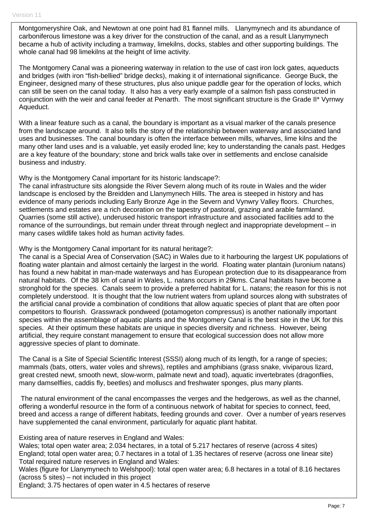Montgomeryshire Oak, and Newtown at one point had 81 flannel mills. Llanymynech and its abundance of carboniferous limestone was a key driver for the construction of the canal, and as a result Llanymynech became a hub of activity including a tramway, limekilns, docks, stables and other supporting buildings. The whole canal had 98 limekilns at the height of lime activity.

The Montgomery Canal was a pioneering waterway in relation to the use of cast iron lock gates, aqueducts and bridges (with iron "fish-bellied" bridge decks), making it of international significance. George Buck, the Engineer, designed many of these structures, plus also unique paddle gear for the operation of locks, which can still be seen on the canal today. It also has a very early example of a salmon fish pass constructed in conjunction with the weir and canal feeder at Penarth. The most significant structure is the Grade II\* Vyrnwy Aqueduct.

With a linear feature such as a canal, the boundary is important as a visual marker of the canals presence from the landscape around. It also tells the story of the relationship between waterway and associated land uses and businesses. The canal boundary is often the interface between mills, wharves, lime kilns and the many other land uses and is a valuable, yet easily eroded line; key to understanding the canals past. Hedges are a key feature of the boundary; stone and brick walls take over in settlements and enclose canalside business and industry.

Why is the Montgomery Canal important for its historic landscape?:

The canal infrastructure sits alongside the River Severn along much of its route in Wales and the wider landscape is enclosed by the Breidden and Llanymynech Hills. The area is steeped in history and has evidence of many periods including Early Bronze Age in the Severn and Vynwry Valley floors. Churches, settlements and estates are a rich decoration on the tapestry of pastoral, grazing and arable farmland. Quarries (some still active), underused historic transport infrastructure and associated facilities add to the romance of the surroundings, but remain under threat through neglect and inappropriate development – in many cases wildlife takes hold as human activity fades.

Why is the Montgomery Canal important for its natural heritage?:

The canal is a Special Area of Conservation (SAC) in Wales due to it harbouring the largest UK populations of floating water plantain and almost certainly the largest in the world. Floating water plantain (luronium natans) has found a new habitat in man-made waterways and has European protection due to its disappearance from natural habitats. Of the 38 km of canal in Wales, L. natans occurs in 29kms. Canal habitats have become a stronghold for the species. Canals seem to provide a preferred habitat for L. natans; the reason for this is not completely understood. It is thought that the low nutrient waters from upland sources along with substrates of the artificial canal provide a combination of conditions that allow aquatic species of plant that are often poor competitors to flourish. Grasswrack pondweed (potamogeton compressus) is another nationally important species within the assemblage of aquatic plants and the Montgomery Canal is the best site in the UK for this species. At their optimum these habitats are unique in species diversity and richness. However, being artificial, they require constant management to ensure that ecological succession does not allow more aggressive species of plant to dominate.

The Canal is a Site of Special Scientific Interest (SSSI) along much of its length, for a range of species; mammals (bats, otters, water voles and shrews), reptiles and amphibians (grass snake, viviparous lizard, great crested newt, smooth newt, slow-worm, palmate newt and toad), aquatic invertebrates (dragonflies, many damselflies, caddis fly, beetles) and molluscs and freshwater sponges, plus many plants.

The natural environment of the canal encompasses the verges and the hedgerows, as well as the channel, offering a wonderful resource in the form of a continuous network of habitat for species to connect, feed, breed and access a range of different habitats, feeding grounds and cover. Over a number of years reserves have supplemented the canal environment, particularly for aquatic plant habitat.

Existing area of nature reserves in England and Wales:

Wales; total open water area; 2.034 hectares, in a total of 5.217 hectares of reserve (across 4 sites) England; total open water area; 0.7 hectares in a total of 1.35 hectares of reserve (across one linear site) Total required nature reserves in England and Wales:

Wales (figure for Llanymynech to Welshpool): total open water area; 6.8 hectares in a total of 8.16 hectares (across 5 sites) – not included in this project

England; 3.75 hectares of open water in 4.5 hectares of reserve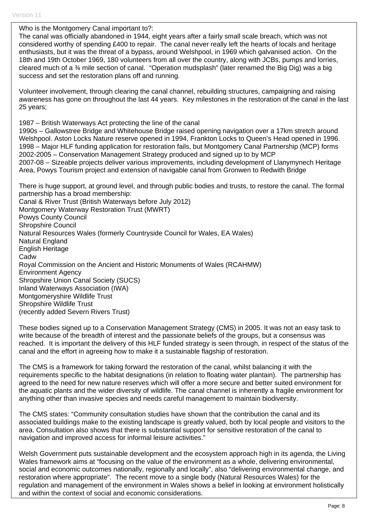Who is the Montgomery Canal important to?:

The canal was officially abandoned in 1944, eight years after a fairly small scale breach, which was not considered worthy of spending £400 to repair. The canal never really left the hearts of locals and heritage enthusiasts, but it was the threat of a bypass, around Welshpool, in 1969 which galvanised action. On the 18th and 19th October 1969, 180 volunteers from all over the country, along with JCBs, pumps and lorries, cleared much of a ¾ mile section of canal. "Operation mudsplash" (later renamed the Big Dig) was a big success and set the restoration plans off and running.

Volunteer involvement, through clearing the canal channel, rebuilding structures, campaigning and raising awareness has gone on throughout the last 44 years. Key milestones in the restoration of the canal in the last 25 years;

1987 – British Waterways Act protecting the line of the canal

1990s – Gallowstree Bridge and Whitehouse Bridge raised opening navigation over a 17km stretch around Welshpool. Aston Locks Nature reserve opened in 1994, Frankton Locks to Queen's Head opened in 1996. 1998 – Major HLF funding application for restoration fails, but Montgomery Canal Partnership (MCP) forms 2002-2005 – Conservation Management Strategy produced and signed up to by MCP 2007-08 – Sizeable projects deliver various improvements, including development of Llanymynech Heritage Area, Powys Tourism project and extension of navigable canal from Gronwen to Redwith Bridge

There is huge support, at ground level, and through public bodies and trusts, to restore the canal. The formal partnership has a broad membership:

Canal & River Trust (British Waterways before July 2012) Montgomery Waterway Restoration Trust (MWRT) Powys County Council Shropshire Council Natural Resources Wales (formerly Countryside Council for Wales, EA Wales) Natural England English Heritage Cadw Royal Commission on the Ancient and Historic Monuments of Wales (RCAHMW) Environment Agency Shropshire Union Canal Society (SUCS) Inland Waterways Association (IWA) Montgomeryshire Wildlife Trust Shropshire Wildlife Trust (recently added Severn Rivers Trust)

These bodies signed up to a Conservation Management Strategy (CMS) in 2005. It was not an easy task to write because of the breadth of interest and the passionate beliefs of the groups, but a consensus was reached. It is important the delivery of this HLF funded strategy is seen through, in respect of the status of the canal and the effort in agreeing how to make it a sustainable flagship of restoration.

The CMS is a framework for taking forward the restoration of the canal, whilst balancing it with the requirements specific to the habitat designations (in relation to floating water plantain). The partnership has agreed to the need for new nature reserves which will offer a more secure and better suited environment for the aquatic plants and the wider diversity of wildlife. The canal channel is inherently a fragile environment for anything other than invasive species and needs careful management to maintain biodiversity.

The CMS states: "Community consultation studies have shown that the contribution the canal and its associated buildings make to the existing landscape is greatly valued, both by local people and visitors to the area. Consultation also shows that there is substantial support for sensitive restoration of the canal to navigation and improved access for informal leisure activities."

Welsh Government puts sustainable development and the ecosystem approach high in its agenda, the Living Wales framework aims at "focusing on the value of the environment as a whole, delivering environmental, social and economic outcomes nationally, regionally and locally", also "delivering environmental change, and restoration where appropriate". The recent move to a single body (Natural Resources Wales) for the regulation and management of the environment in Wales shows a belief in looking at environment holistically and within the context of social and economic considerations.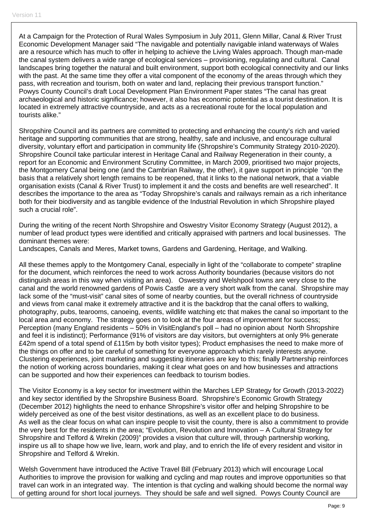At a Campaign for the Protection of Rural Wales Symposium in July 2011, Glenn Millar, Canal & River Trust Economic Development Manager said "The navigable and potentially navigable inland waterways of Wales are a resource which has much to offer in helping to achieve the Living Wales approach. Though man-made the canal system delivers a wide range of ecological services – provisioning, regulating and cultural. Canal landscapes bring together the natural and built environment, support both ecological connectivity and our links with the past. At the same time they offer a vital component of the economy of the areas through which they pass, with recreation and tourism, both on water and land, replacing their previous transport function." Powys County Council's draft Local Development Plan Environment Paper states "The canal has great archaeological and historic significance; however, it also has economic potential as a tourist destination. It is located in extremely attractive countryside, and acts as a recreational route for the local population and tourists alike."

Shropshire Council and its partners are committed to protecting and enhancing the county's rich and varied heritage and supporting communities that are strong, healthy, safe and inclusive, and encourage cultural diversity, voluntary effort and participation in community life (Shropshire's Community Strategy 2010-2020). Shropshire Council take particular interest in Heritage Canal and Railway Regeneration in their county, a report for an Economic and Environment Scrutiny Committee, in March 2009, prioritised two major projects, the Montgomery Canal being one (and the Cambrian Railway, the other), it gave support in principle "on the basis that a relatively short length remains to be reopened, that it links to the national network, that a viable organisation exists (Canal & River Trust) to implement it and the costs and benefits are well researched". It describes the importance to the area as "Today Shropshire's canals and railways remain as a rich inheritance both for their biodiversity and as tangible evidence of the Industrial Revolution in which Shropshire played such a crucial role".

During the writing of the recent North Shropshire and Oswestry Visitor Economy Strategy (August 2012), a number of lead product types were identified and critically appraised with partners and local businesses. The dominant themes were:

Landscapes, Canals and Meres, Market towns, Gardens and Gardening, Heritage, and Walking.

All these themes apply to the Montgomery Canal, especially in light of the "collaborate to compete" strapline for the document, which reinforces the need to work across Authority boundaries (because visitors do not distinguish areas in this way when visiting an area). Oswestry and Welshpool towns are very close to the canal and the world renowned gardens of Powis Castle are a very short walk from the canal. Shropshire may lack some of the "must-visit" canal sites of some of nearby counties, but the overall richness of countryside and views from canal make it extremely attractive and it is the backdrop that the canal offers to walking, photography, pubs, tearooms, canoeing, events, wildlife watching etc that makes the canal so important to the local area and economy. The strategy goes on to look at the four areas of improvement for success; Perception (many England residents – 50% in VisitEngland's poll – had no opinion about North Shropshire and feel it is indistinct); Performance (91% of visitors are day visitors, but overnighters at only 9% generate £42m spend of a total spend of £115m by both visitor types); Product emphasises the need to make more of the things on offer and to be careful of something for everyone approach which rarely interests anyone. Clustering experiences, joint marketing and suggesting itineraries are key to this; finally Partnership reinforces the notion of working across boundaries, making it clear what goes on and how businesses and attractions can be supported and how their experiences can feedback to tourism bodies.

The Visitor Economy is a key sector for investment within the Marches LEP Strategy for Growth (2013-2022) and key sector identified by the Shropshire Business Board. Shropshire's Economic Growth Strategy (December 2012) highlights the need to enhance Shropshire's visitor offer and helping Shropshire to be widely perceived as one of the best visitor destinations, as well as an excellent place to do business. As well as the clear focus on what can inspire people to visit the county, there is also a commitment to provide the very best for the residents in the area; "Evolution, Revolution and Innovation – A Cultural Strategy for Shropshire and Telford & Wrekin (2009)" provides a vision that culture will, through partnership working, inspire us all to shape how we live, learn, work and play, and to enrich the life of every resident and visitor in Shropshire and Telford & Wrekin.

Welsh Government have introduced the Active Travel Bill (February 2013) which will encourage Local Authorities to improve the provision for walking and cycling and map routes and improve opportunities so that travel can work in an integrated way. The intention is that cycling and walking should become the normal way of getting around for short local journeys. They should be safe and well signed. Powys County Council are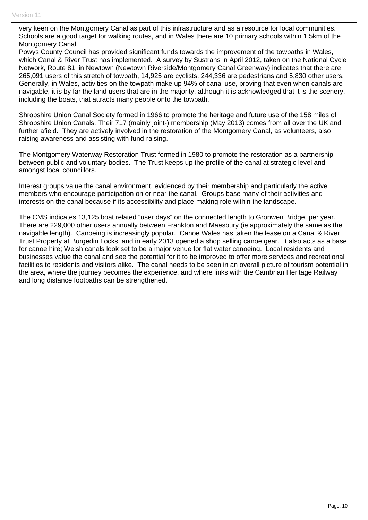very keen on the Montgomery Canal as part of this infrastructure and as a resource for local communities. Schools are a good target for walking routes, and in Wales there are 10 primary schools within 1.5km of the Montgomery Canal.

Powys County Council has provided significant funds towards the improvement of the towpaths in Wales, which Canal & River Trust has implemented. A survey by Sustrans in April 2012, taken on the National Cycle Network, Route 81, in Newtown (Newtown Riverside/Montgomery Canal Greenway) indicates that there are 265,091 users of this stretch of towpath, 14,925 are cyclists, 244,336 are pedestrians and 5,830 other users. Generally, in Wales, activities on the towpath make up 94% of canal use, proving that even when canals are navigable, it is by far the land users that are in the majority, although it is acknowledged that it is the scenery, including the boats, that attracts many people onto the towpath.

Shropshire Union Canal Society formed in 1966 to promote the heritage and future use of the 158 miles of Shropshire Union Canals. Their 717 (mainly joint-) membership (May 2013) comes from all over the UK and further afield. They are actively involved in the restoration of the Montgomery Canal, as volunteers, also raising awareness and assisting with fund-raising.

The Montgomery Waterway Restoration Trust formed in 1980 to promote the restoration as a partnership between public and voluntary bodies. The Trust keeps up the profile of the canal at strategic level and amongst local councillors.

Interest groups value the canal environment, evidenced by their membership and particularly the active members who encourage participation on or near the canal. Groups base many of their activities and interests on the canal because if its accessibility and place-making role within the landscape.

The CMS indicates 13,125 boat related "user days" on the connected length to Gronwen Bridge, per year. There are 229,000 other users annually between Frankton and Maesbury (ie approximately the same as the navigable length). Canoeing is increasingly popular. Canoe Wales has taken the lease on a Canal & River Trust Property at Burgedin Locks, and in early 2013 opened a shop selling canoe gear. It also acts as a base for canoe hire; Welsh canals look set to be a major venue for flat water canoeing. Local residents and businesses value the canal and see the potential for it to be improved to offer more services and recreational facilities to residents and visitors alike. The canal needs to be seen in an overall picture of tourism potential in the area, where the journey becomes the experience, and where links with the Cambrian Heritage Railway and long distance footpaths can be strengthened.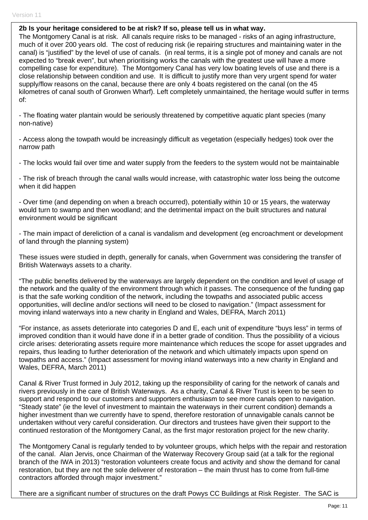#### **2b Is your heritage considered to be at risk? If so, please tell us in what way.**

The Montgomery Canal is at risk. All canals require risks to be managed - risks of an aging infrastructure, much of it over 200 years old. The cost of reducing risk (ie repairing structures and maintaining water in the canal) is "justified" by the level of use of canals. (in real terms, it is a single pot of money and canals are not expected to "break even", but when prioritising works the canals with the greatest use will have a more compelling case for expenditure). The Montgomery Canal has very low boating levels of use and there is a close relationship between condition and use. It is difficult to justify more than very urgent spend for water supply/flow reasons on the canal, because there are only 4 boats registered on the canal (on the 45 kilometres of canal south of Gronwen Wharf). Left completely unmaintained, the heritage would suffer in terms of:

- The floating water plantain would be seriously threatened by competitive aquatic plant species (many non-native)

- Access along the towpath would be increasingly difficult as vegetation (especially hedges) took over the narrow path

- The locks would fail over time and water supply from the feeders to the system would not be maintainable

- The risk of breach through the canal walls would increase, with catastrophic water loss being the outcome when it did happen

- Over time (and depending on when a breach occurred), potentially within 10 or 15 years, the waterway would turn to swamp and then woodland; and the detrimental impact on the built structures and natural environment would be significant

- The main impact of dereliction of a canal is vandalism and development (eg encroachment or development of land through the planning system)

These issues were studied in depth, generally for canals, when Government was considering the transfer of British Waterways assets to a charity.

"The public benefits delivered by the waterways are largely dependent on the condition and level of usage of the network and the quality of the environment through which it passes. The consequence of the funding gap is that the safe working condition of the network, including the towpaths and associated public access opportunities, will decline and/or sections will need to be closed to navigation." (Impact assessment for moving inland waterways into a new charity in England and Wales, DEFRA, March 2011)

"For instance, as assets deteriorate into categories D and E, each unit of expenditure "buys less" in terms of improved condition than it would have done if in a better grade of condition. Thus the possibility of a vicious circle arises: deteriorating assets require more maintenance which reduces the scope for asset upgrades and repairs, thus leading to further deterioration of the network and which ultimately impacts upon spend on towpaths and access." (Impact assessment for moving inland waterways into a new charity in England and Wales, DEFRA, March 2011)

Canal & River Trust formed in July 2012, taking up the responsibility of caring for the network of canals and rivers previously in the care of British Waterways. As a charity, Canal & River Trust is keen to be seen to support and respond to our customers and supporters enthusiasm to see more canals open to navigation. "Steady state" (ie the level of investment to maintain the waterways in their current condition) demands a higher investment than we currently have to spend, therefore restoration of unnavigable canals cannot be undertaken without very careful consideration. Our directors and trustees have given their support to the continued restoration of the Montgomery Canal, as the first major restoration project for the new charity.

The Montgomery Canal is regularly tended to by volunteer groups, which helps with the repair and restoration of the canal. Alan Jervis, once Chairman of the Waterway Recovery Group said (at a talk for the regional branch of the IWA in 2013) "restoration volunteers create focus and activity and show the demand for canal restoration, but they are not the sole deliverer of restoration – the main thrust has to come from full-time contractors afforded through major investment."

There are a significant number of structures on the draft Powys CC Buildings at Risk Register. The SAC is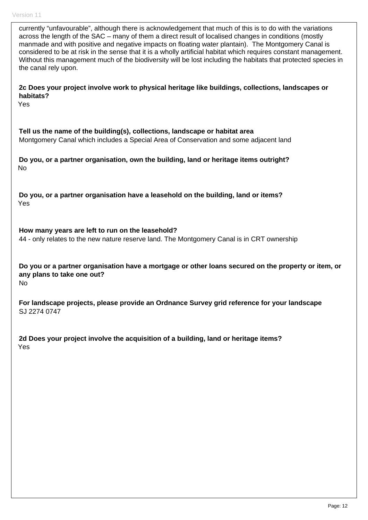currently "unfavourable", although there is acknowledgement that much of this is to do with the variations across the length of the SAC – many of them a direct result of localised changes in conditions (mostly manmade and with positive and negative impacts on floating water plantain). The Montgomery Canal is considered to be at risk in the sense that it is a wholly artificial habitat which requires constant management. Without this management much of the biodiversity will be lost including the habitats that protected species in the canal rely upon. **2c Does your project involve work to physical heritage like buildings, collections, landscapes or habitats?**  Yes **Tell us the name of the building(s), collections, landscape or habitat area**  Montgomery Canal which includes a Special Area of Conservation and some adjacent land **Do you, or a partner organisation, own the building, land or heritage items outright?**  No **Do you, or a partner organisation have a leasehold on the building, land or items?**  Yes **How many years are left to run on the leasehold?**  44 - only relates to the new nature reserve land. The Montgomery Canal is in CRT ownership **Do you or a partner organisation have a mortgage or other loans secured on the property or item, or any plans to take one out?**  No **For landscape projects, please provide an Ordnance Survey grid reference for your landscape**  SJ 2274 0747 **2d Does your project involve the acquisition of a building, land or heritage items?**  Yes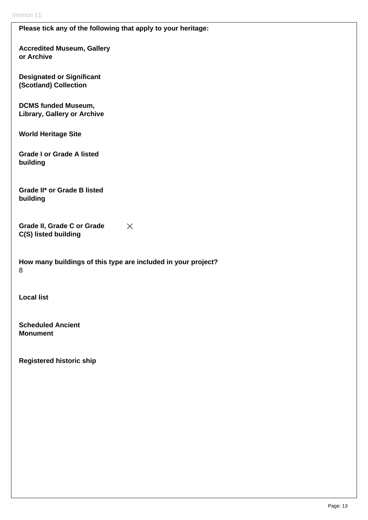## **Please tick any of the following that apply to your heritage:**

**Accredited Museum, Gallery or Archive** 

**Designated or Significant (Scotland) Collection** 

**DCMS funded Museum, Library, Gallery or Archive** 

**World Heritage Site** 

**Grade I or Grade A listed building** 

**Grade II\* or Grade B listed building** 

**Grade II, Grade C or Grade**   $\mathsf{X}$ **C(S) listed building** 

**How many buildings of this type are included in your project?**  8

**Local list** 

**Scheduled Ancient Monument** 

**Registered historic ship**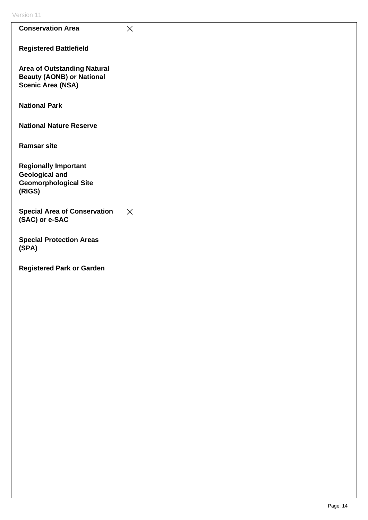| Version 11                                                                                         |          |
|----------------------------------------------------------------------------------------------------|----------|
| <b>Conservation Area</b>                                                                           | $\times$ |
| <b>Registered Battlefield</b>                                                                      |          |
| <b>Area of Outstanding Natural</b><br><b>Beauty (AONB) or National</b><br><b>Scenic Area (NSA)</b> |          |
| <b>National Park</b>                                                                               |          |
| <b>National Nature Reserve</b>                                                                     |          |
| <b>Ramsar site</b>                                                                                 |          |
| <b>Regionally Important</b><br><b>Geological and</b><br><b>Geomorphological Site</b><br>(RIGS)     |          |
| <b>Special Area of Conservation</b><br>(SAC) or e-SAC                                              | $\times$ |
| <b>Special Protection Areas</b><br>(SPA)                                                           |          |
| <b>Registered Park or Garden</b>                                                                   |          |
|                                                                                                    |          |
|                                                                                                    |          |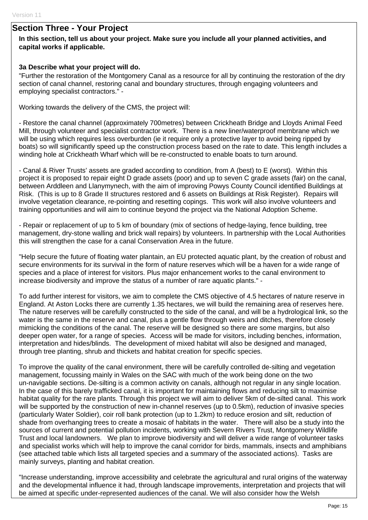# **Section Three - Your Project**

## **In this section, tell us about your project. Make sure you include all your planned activities, and capital works if applicable.**

#### **3a Describe what your project will do.**

"Further the restoration of the Montgomery Canal as a resource for all by continuing the restoration of the dry section of canal channel, restoring canal and boundary structures, through engaging volunteers and employing specialist contractors." -

Working towards the delivery of the CMS, the project will:

- Restore the canal channel (approximately 700metres) between Crickheath Bridge and Lloyds Animal Feed Mill, through volunteer and specialist contractor work. There is a new liner/waterproof membrane which we will be using which requires less overburden (ie it require only a protective layer to avoid being ripped by boats) so will significantly speed up the construction process based on the rate to date. This length includes a winding hole at Crickheath Wharf which will be re-constructed to enable boats to turn around.

- Canal & River Trusts' assets are graded according to condition, from A (best) to E (worst). Within this project it is proposed to repair eight D grade assets (poor) and up to seven C grade assets (fair) on the canal, between Arddleen and Llanymynech, with the aim of improving Powys County Council identified Buildings at Risk. (This is up to 8 Grade II structures restored and 6 assets on Buildings at Risk Register). Repairs will involve vegetation clearance, re-pointing and resetting copings. This work will also involve volunteers and training opportunities and will aim to continue beyond the project via the National Adoption Scheme.

- Repair or replacement of up to 5 km of boundary (mix of sections of hedge-laying, fence building, tree management, dry-stone walling and brick wall repairs) by volunteers. In partnership with the Local Authorities this will strengthen the case for a canal Conservation Area in the future.

"Help secure the future of floating water plantain, an EU protected aquatic plant, by the creation of robust and secure environments for its survival in the form of nature reserves which will be a haven for a wide range of species and a place of interest for visitors. Plus major enhancement works to the canal environment to increase biodiversity and improve the status of a number of rare aquatic plants." -

To add further interest for visitors, we aim to complete the CMS objective of 4.5 hectares of nature reserve in England. At Aston Locks there are currently 1.35 hectares, we will build the remaining area of reserves here. The nature reserves will be carefully constructed to the side of the canal, and will be a hydrological link, so the water is the same in the reserve and canal, plus a gentle flow through weirs and ditches, therefore closely mimicking the conditions of the canal. The reserve will be designed so there are some margins, but also deeper open water, for a range of species. Access will be made for visitors, including benches, information, interpretation and hides/blinds. The development of mixed habitat will also be designed and managed, through tree planting, shrub and thickets and habitat creation for specific species.

To improve the quality of the canal environment, there will be carefully controlled de-silting and vegetation management, focussing mainly in Wales on the SAC with much of the work being done on the two un-navigable sections. De-silting is a common activity on canals, although not regular in any single location. In the case of this barely trafficked canal, it is important for maintaining flows and reducing silt to maximise habitat quality for the rare plants. Through this project we will aim to deliver 5km of de-silted canal. This work will be supported by the construction of new in-channel reserves (up to 0.5km), reduction of invasive species (particularly Water Soldier), coir roll bank protection (up to 1.2km) to reduce erosion and silt, reduction of shade from overhanging trees to create a mosaic of habitats in the water. There will also be a study into the sources of current and potential pollution incidents, working with Severn Rivers Trust, Montgomery Wildlife Trust and local landowners. We plan to improve biodiversity and will deliver a wide range of volunteer tasks and specialist works which will help to improve the canal corridor for birds, mammals, insects and amphibians (see attached table which lists all targeted species and a summary of the associated actions). Tasks are mainly surveys, planting and habitat creation.

"Increase understanding, improve accessibility and celebrate the agricultural and rural origins of the waterway and the developmental influence it had, through landscape improvements, interpretation and projects that will be aimed at specific under-represented audiences of the canal. We will also consider how the Welsh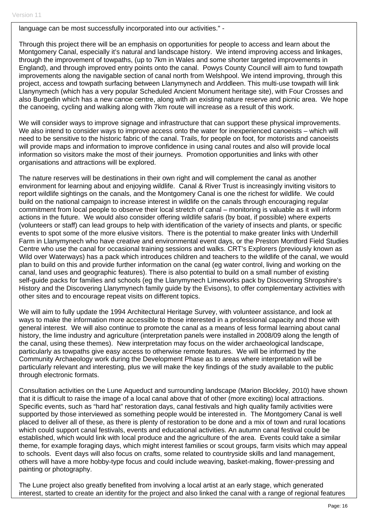language can be most successfully incorporated into our activities." -

Through this project there will be an emphasis on opportunities for people to access and learn about the Montgomery Canal, especially it's natural and landscape history. We intend improving access and linkages, through the improvement of towpaths, (up to 7km in Wales and some shorter targeted improvements in England), and through improved entry points onto the canal. Powys County Council will aim to fund towpath improvements along the navigable section of canal north from Welshpool. We intend improving, through this project, access and towpath surfacing between Llanymynech and Arddleen. This multi-use towpath will link Llanynymech (which has a very popular Scheduled Ancient Monument heritage site), with Four Crosses and also Burgedin which has a new canoe centre, along with an existing nature reserve and picnic area. We hope the canoeing, cycling and walking along with 7km route will increase as a result of this work.

We will consider ways to improve signage and infrastructure that can support these physical improvements. We also intend to consider ways to improve access onto the water for inexperienced canoeists – which will need to be sensitive to the historic fabric of the canal. Trails, for people on foot, for motorists and canoeists will provide maps and information to improve confidence in using canal routes and also will provide local information so visitors make the most of their journeys. Promotion opportunities and links with other organisations and attractions will be explored.

The nature reserves will be destinations in their own right and will complement the canal as another environment for learning about and enjoying wildlife. Canal & River Trust is increasingly inviting visitors to report wildlife sightings on the canals, and the Montgomery Canal is one the richest for wildlife. We could build on the national campaign to increase interest in wildlife on the canals through encouraging regular commitment from local people to observe their local stretch of canal – monitoring is valuable as it will inform actions in the future. We would also consider offering wildlife safaris (by boat, if possible) where experts (volunteers or staff) can lead groups to help with identification of the variety of insects and plants, or specific events to spot some of the more elusive visitors. There is the potential to make greater links with Underhill Farm in Llanymynech who have creative and environmental event days, or the Preston Montford Field Studies Centre who use the canal for occasional training sessions and walks. CRT's Explorers (previously known as Wild over Waterways) has a pack which introduces children and teachers to the wildlife of the canal, we would plan to build on this and provide further information on the canal (eg water control, living and working on the canal, land uses and geographic features). There is also potential to build on a small number of existing self-guide packs for families and schools (eg the Llanymynech Limeworks pack by Discovering Shropshire's History and the Discovering Llanymynech family guide by the Evisons), to offer complementary activities with other sites and to encourage repeat visits on different topics.

We will aim to fully update the 1994 Architectural Heritage Survey, with volunteer assistance, and look at ways to make the information more accessible to those interested in a professional capacity and those with general interest. We will also continue to promote the canal as a means of less formal learning about canal history, the lime industry and agriculture (interpretation panels were installed in 2008/09 along the length of the canal, using these themes). New interpretation may focus on the wider archaeological landscape, particularly as towpaths give easy access to otherwise remote features. We will be informed by the Community Archaeology work during the Development Phase as to areas where interpretation will be particularly relevant and interesting, plus we will make the key findings of the study available to the public through electronic formats.

Consultation activities on the Lune Aqueduct and surrounding landscape (Marion Blockley, 2010) have shown that it is difficult to raise the image of a local canal above that of other (more exciting) local attractions. Specific events, such as "hard hat" restoration days, canal festivals and high quality family activities were supported by those interviewed as something people would be interested in. The Montgomery Canal is well placed to deliver all of these, as there is plenty of restoration to be done and a mix of town and rural locations which could support canal festivals, events and educational activities. An autumn canal festival could be established, which would link with local produce and the agriculture of the area. Events could take a similar theme, for example foraging days, which might interest families or scout groups, farm visits which may appeal to schools. Event days will also focus on crafts, some related to countryside skills and land management, others will have a more hobby-type focus and could include weaving, basket-making, flower-pressing and painting or photography.

The Lune project also greatly benefited from involving a local artist at an early stage, which generated interest, started to create an identity for the project and also linked the canal with a range of regional features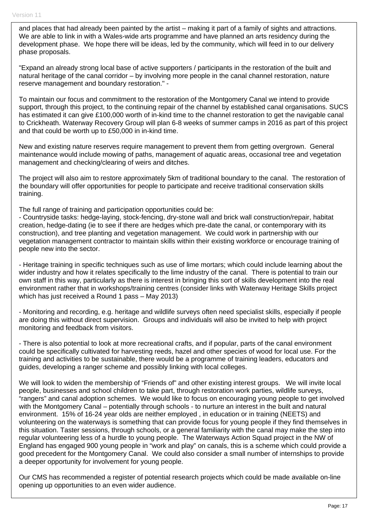and places that had already been painted by the artist – making it part of a family of sights and attractions. We are able to link in with a Wales-wide arts programme and have planned an arts residency during the development phase. We hope there will be ideas, led by the community, which will feed in to our delivery phase proposals.

"Expand an already strong local base of active supporters / participants in the restoration of the built and natural heritage of the canal corridor – by involving more people in the canal channel restoration, nature reserve management and boundary restoration." -

To maintain our focus and commitment to the restoration of the Montgomery Canal we intend to provide support, through this project, to the continuing repair of the channel by established canal organisations. SUCS has estimated it can give £100,000 worth of in-kind time to the channel restoration to get the navigable canal to Crickheath. Waterway Recovery Group will plan 6-8 weeks of summer camps in 2016 as part of this project and that could be worth up to £50,000 in in-kind time.

New and existing nature reserves require management to prevent them from getting overgrown. General maintenance would include mowing of paths, management of aquatic areas, occasional tree and vegetation management and checking/clearing of weirs and ditches.

The project will also aim to restore approximately 5km of traditional boundary to the canal. The restoration of the boundary will offer opportunities for people to participate and receive traditional conservation skills training.

The full range of training and participation opportunities could be:

- Countryside tasks: hedge-laying, stock-fencing, dry-stone wall and brick wall construction/repair, habitat creation, hedge-dating (ie to see if there are hedges which pre-date the canal, or contemporary with its construction), and tree planting and vegetation management. We could work in partnership with our vegetation management contractor to maintain skills within their existing workforce or encourage training of people new into the sector.

- Heritage training in specific techniques such as use of lime mortars; which could include learning about the wider industry and how it relates specifically to the lime industry of the canal. There is potential to train our own staff in this way, particularly as there is interest in bringing this sort of skills development into the real environment rather that in workshops/training centres (consider links with Waterway Heritage Skills project which has just received a Round 1 pass – May 2013)

- Monitoring and recording, e.g. heritage and wildlife surveys often need specialist skills, especially if people are doing this without direct supervision. Groups and individuals will also be invited to help with project monitoring and feedback from visitors.

- There is also potential to look at more recreational crafts, and if popular, parts of the canal environment could be specifically cultivated for harvesting reeds, hazel and other species of wood for local use. For the training and activities to be sustainable, there would be a programme of training leaders, educators and guides, developing a ranger scheme and possibly linking with local colleges.

We will look to widen the membership of "Friends of" and other existing interest groups. We will invite local people, businesses and school children to take part, through restoration work parties, wildlife surveys, "rangers" and canal adoption schemes. We would like to focus on encouraging young people to get involved with the Montgomery Canal – potentially through schools - to nurture an interest in the built and natural environment. 15% of 16-24 year olds are neither employed , in education or in training (NEETS) and volunteering on the waterways is something that can provide focus for young people if they find themselves in this situation. Taster sessions, through schools, or a general familiarity with the canal may make the step into regular volunteering less of a hurdle to young people. The Waterways Action Squad project in the NW of England has engaged 900 young people in "work and play" on canals, this is a scheme which could provide a good precedent for the Montgomery Canal. We could also consider a small number of internships to provide a deeper opportunity for involvement for young people.

Our CMS has recommended a register of potential research projects which could be made available on-line opening up opportunities to an even wider audience.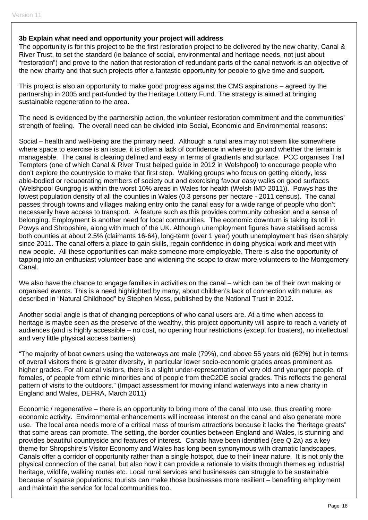#### **3b Explain what need and opportunity your project will address**

The opportunity is for this project to be the first restoration project to be delivered by the new charity, Canal & River Trust, to set the standard (ie balance of social, environmental and heritage needs, not just about "restoration") and prove to the nation that restoration of redundant parts of the canal network is an objective of the new charity and that such projects offer a fantastic opportunity for people to give time and support.

This project is also an opportunity to make good progress against the CMS aspirations – agreed by the partnership in 2005 and part-funded by the Heritage Lottery Fund. The strategy is aimed at bringing sustainable regeneration to the area.

The need is evidenced by the partnership action, the volunteer restoration commitment and the communities' strength of feeling. The overall need can be divided into Social, Economic and Environmental reasons:

Social – health and well-being are the primary need. Although a rural area may not seem like somewhere where space to exercise is an issue, it is often a lack of confidence in where to go and whether the terrain is manageable. The canal is clearing defined and easy in terms of gradients and surface. PCC organises Trail Tempters (one of which Canal & River Trust helped guide in 2012 in Welshpool) to encourage people who don't explore the countryside to make that first step. Walking groups who focus on getting elderly, less able-bodied or recuperating members of society out and exercising favour easy walks on good surfaces (Welshpool Gungrog is within the worst 10% areas in Wales for health (Welsh IMD 2011)). Powys has the lowest population density of all the counties in Wales (0.3 persons per hectare - 2011 census). The canal passes through towns and villages making entry onto the canal easy for a wide range of people who don't necessarily have access to transport. A feature such as this provides community cohesion and a sense of belonging. Employment is another need for local communities. The economic downturn is taking its toll in Powys and Shropshire, along with much of the UK. Although unemployment figures have stabilised across both counties at about 2.5% (claimants 16-64), long-term (over 1 year) youth unemployment has risen sharply since 2011. The canal offers a place to gain skills, regain confidence in doing physical work and meet with new people. All these opportunities can make someone more employable. There is also the opportunity of tapping into an enthusiast volunteer base and widening the scope to draw more volunteers to the Montgomery Canal.

We also have the chance to engage families in activities on the canal – which can be of their own making or organised events. This is a need highlighted by many, about children's lack of connection with nature, as described in "Natural Childhood" by Stephen Moss, published by the National Trust in 2012.

Another social angle is that of changing perceptions of who canal users are. At a time when access to heritage is maybe seen as the preserve of the wealthy, this project opportunity will aspire to reach a variety of audiences (and is highly accessible – no cost, no opening hour restrictions (except for boaters), no intellectual and very little physical access barriers)

"The majority of boat owners using the waterways are male (79%), and above 55 years old (62%) but in terms of overall visitors there is greater diversity, in particular lower socio-economic grades areas prominent as higher grades. For all canal visitors, there is a slight under-representation of very old and younger people, of females, of people from ethnic minorities and of people from theC2DE social grades. This reflects the general pattern of visits to the outdoors." (Impact assessment for moving inland waterways into a new charity in England and Wales, DEFRA, March 2011)

Economic / regenerative – there is an opportunity to bring more of the canal into use, thus creating more economic activity. Environmental enhancements will increase interest on the canal and also generate more use. The local area needs more of a critical mass of tourism attractions because it lacks the "heritage greats" that some areas can promote. The setting, the border counties between England and Wales, is stunning and provides beautiful countryside and features of interest. Canals have been identified (see Q 2a) as a key theme for Shropshire's Visitor Economy and Wales has long been synonymous with dramatic landscapes. Canals offer a corridor of opportunity rather than a single hotspot, due to their linear nature. It is not only the physical connection of the canal, but also how it can provide a rationale to visits through themes eg industrial heritage, wildlife, walking routes etc. Local rural services and businesses can struggle to be sustainable because of sparse populations; tourists can make those businesses more resilient – benefiting employment and maintain the service for local communities too.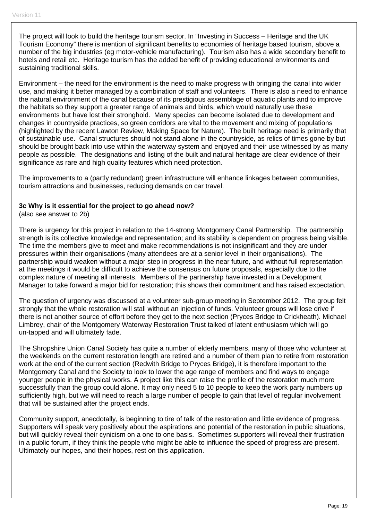The project will look to build the heritage tourism sector. In "Investing in Success – Heritage and the UK Tourism Economy" there is mention of significant benefits to economies of heritage based tourism, above a number of the big industries (eg motor-vehicle manufacturing). Tourism also has a wide secondary benefit to hotels and retail etc. Heritage tourism has the added benefit of providing educational environments and sustaining traditional skills.

Environment – the need for the environment is the need to make progress with bringing the canal into wider use, and making it better managed by a combination of staff and volunteers. There is also a need to enhance the natural environment of the canal because of its prestigious assemblage of aquatic plants and to improve the habitats so they support a greater range of animals and birds, which would naturally use these environments but have lost their stronghold. Many species can become isolated due to development and changes in countryside practices, so green corridors are vital to the movement and mixing of populations (highlighted by the recent Lawton Review, Making Space for Nature). The built heritage need is primarily that of sustainable use. Canal structures should not stand alone in the countryside, as relics of times gone by but should be brought back into use within the waterway system and enjoyed and their use witnessed by as many people as possible. The designations and listing of the built and natural heritage are clear evidence of their significance as rare and high quality features which need protection.

The improvements to a (partly redundant) green infrastructure will enhance linkages between communities, tourism attractions and businesses, reducing demands on car travel.

#### **3c Why is it essential for the project to go ahead now?**

(also see answer to 2b)

There is urgency for this project in relation to the 14-strong Montgomery Canal Partnership. The partnership strength is its collective knowledge and representation; and its stability is dependent on progress being visible. The time the members give to meet and make recommendations is not insignificant and they are under pressures within their organisations (many attendees are at a senior level in their organisations). The partnership would weaken without a major step in progress in the near future, and without full representation at the meetings it would be difficult to achieve the consensus on future proposals, especially due to the complex nature of meeting all interests. Members of the partnership have invested in a Development Manager to take forward a major bid for restoration; this shows their commitment and has raised expectation.

The question of urgency was discussed at a volunteer sub-group meeting in September 2012. The group felt strongly that the whole restoration will stall without an injection of funds. Volunteer groups will lose drive if there is not another source of effort before they get to the next section (Pryces Bridge to Crickheath). Michael Limbrey, chair of the Montgomery Waterway Restoration Trust talked of latent enthusiasm which will go un-tapped and will ultimately fade.

The Shropshire Union Canal Society has quite a number of elderly members, many of those who volunteer at the weekends on the current restoration length are retired and a number of them plan to retire from restoration work at the end of the current section (Redwith Bridge to Pryces Bridge), it is therefore important to the Montgomery Canal and the Society to look to lower the age range of members and find ways to engage younger people in the physical works. A project like this can raise the profile of the restoration much more successfully than the group could alone. It may only need 5 to 10 people to keep the work party numbers up sufficiently high, but we will need to reach a large number of people to gain that level of regular involvement that will be sustained after the project ends.

Community support, anecdotally, is beginning to tire of talk of the restoration and little evidence of progress. Supporters will speak very positively about the aspirations and potential of the restoration in public situations, but will quickly reveal their cynicism on a one to one basis. Sometimes supporters will reveal their frustration in a public forum, if they think the people who might be able to influence the speed of progress are present. Ultimately our hopes, and their hopes, rest on this application.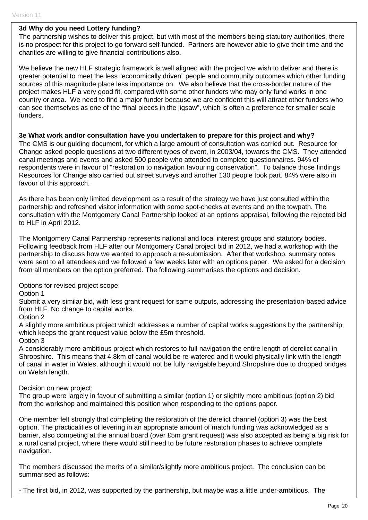#### **3d Why do you need Lottery funding?**

The partnership wishes to deliver this project, but with most of the members being statutory authorities, there is no prospect for this project to go forward self-funded. Partners are however able to give their time and the charities are willing to give financial contributions also.

We believe the new HLF strategic framework is well aligned with the project we wish to deliver and there is greater potential to meet the less "economically driven" people and community outcomes which other funding sources of this magnitude place less importance on. We also believe that the cross-border nature of the project makes HLF a very good fit, compared with some other funders who may only fund works in one country or area. We need to find a major funder because we are confident this will attract other funders who can see themselves as one of the "final pieces in the jigsaw", which is often a preference for smaller scale funders.

#### **3e What work and/or consultation have you undertaken to prepare for this project and why?**

The CMS is our guiding document, for which a large amount of consultation was carried out. Resource for Change asked people questions at two different types of event, in 2003/04, towards the CMS. They attended canal meetings and events and asked 500 people who attended to complete questionnaires. 94% of respondents were in favour of "restoration to navigation favouring conservation". To balance those findings Resources for Change also carried out street surveys and another 130 people took part. 84% were also in favour of this approach.

As there has been only limited development as a result of the strategy we have just consulted within the partnership and refreshed visitor information with some spot-checks at events and on the towpath. The consultation with the Montgomery Canal Partnership looked at an options appraisal, following the rejected bid to HLF in April 2012.

The Montgomery Canal Partnership represents national and local interest groups and statutory bodies. Following feedback from HLF after our Montgomery Canal project bid in 2012, we had a workshop with the partnership to discuss how we wanted to approach a re-submission. After that workshop, summary notes were sent to all attendees and we followed a few weeks later with an options paper. We asked for a decision from all members on the option preferred. The following summarises the options and decision.

Options for revised project scope:

#### Option 1

Submit a very similar bid, with less grant request for same outputs, addressing the presentation-based advice from HLF. No change to capital works.

#### Option 2

A slightly more ambitious project which addresses a number of capital works suggestions by the partnership, which keeps the grant request value below the £5m threshold.

#### Option 3

A considerably more ambitious project which restores to full navigation the entire length of derelict canal in Shropshire. This means that 4.8km of canal would be re-watered and it would physically link with the length of canal in water in Wales, although it would not be fully navigable beyond Shropshire due to dropped bridges on Welsh length.

#### Decision on new project:

The group were largely in favour of submitting a similar (option 1) or slightly more ambitious (option 2) bid from the workshop and maintained this position when responding to the options paper.

One member felt strongly that completing the restoration of the derelict channel (option 3) was the best option. The practicalities of levering in an appropriate amount of match funding was acknowledged as a barrier, also competing at the annual board (over £5m grant request) was also accepted as being a big risk for a rural canal project, where there would still need to be future restoration phases to achieve complete navigation.

The members discussed the merits of a similar/slightly more ambitious project. The conclusion can be summarised as follows:

- The first bid, in 2012, was supported by the partnership, but maybe was a little under-ambitious. The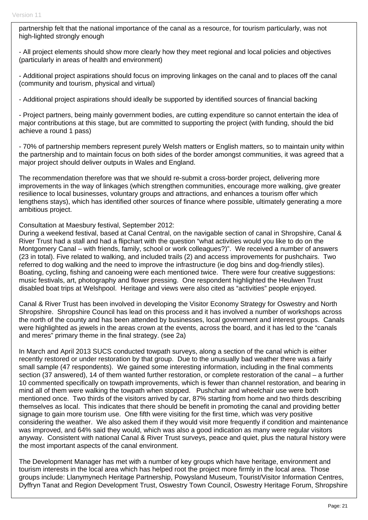partnership felt that the national importance of the canal as a resource, for tourism particularly, was not high-lighted strongly enough

- All project elements should show more clearly how they meet regional and local policies and objectives (particularly in areas of health and environment)

- Additional project aspirations should focus on improving linkages on the canal and to places off the canal (community and tourism, physical and virtual)

- Additional project aspirations should ideally be supported by identified sources of financial backing

- Project partners, being mainly government bodies, are cutting expenditure so cannot entertain the idea of major contributions at this stage, but are committed to supporting the project (with funding, should the bid achieve a round 1 pass)

- 70% of partnership members represent purely Welsh matters or English matters, so to maintain unity within the partnership and to maintain focus on both sides of the border amongst communities, it was agreed that a major project should deliver outputs in Wales and England.

The recommendation therefore was that we should re-submit a cross-border project, delivering more improvements in the way of linkages (which strengthen communities, encourage more walking, give greater resilience to local businesses, voluntary groups and attractions, and enhances a tourism offer which lengthens stays), which has identified other sources of finance where possible, ultimately generating a more ambitious project.

#### Consultation at Maesbury festival, September 2012:

During a weekend festival, based at Canal Central, on the navigable section of canal in Shropshire, Canal & River Trust had a stall and had a flipchart with the question "what activities would you like to do on the Montgomery Canal – with friends, family, school or work colleagues?)". We received a number of answers (23 in total). Five related to walking, and included trails (2) and access improvements for pushchairs. Two referred to dog walking and the need to improve the infrastructure (ie dog bins and dog-friendly stiles). Boating, cycling, fishing and canoeing were each mentioned twice. There were four creative suggestions: music festivals, art, photography and flower pressing. One respondent highlighted the Heulwen Trust disabled boat trips at Welshpool. Heritage and views were also cited as "activities" people enjoyed.

Canal & River Trust has been involved in developing the Visitor Economy Strategy for Oswestry and North Shropshire. Shropshire Council has lead on this process and it has involved a number of workshops across the north of the county and has been attended by businesses, local government and interest groups. Canals were highlighted as jewels in the areas crown at the events, across the board, and it has led to the "canals and meres" primary theme in the final strategy. (see 2a)

In March and April 2013 SUCS conducted towpath surveys, along a section of the canal which is either recently restored or under restoration by that group. Due to the unusually bad weather there was a fairly small sample (47 respondents). We gained some interesting information, including in the final comments section (37 answered), 14 of them wanted further restoration, or complete restoration of the canal – a further 10 commented specifically on towpath improvements, which is fewer than channel restoration, and bearing in mind all of them were walking the towpath when stopped. Pushchair and wheelchair use were both mentioned once. Two thirds of the visitors arrived by car, 87% starting from home and two thirds describing themselves as local. This indicates that there should be benefit in promoting the canal and providing better signage to gain more tourism use. One fifth were visiting for the first time, which was very positive considering the weather. We also asked them if they would visit more frequently if condition and maintenance was improved, and 64% said they would, which was also a good indication as many were regular visitors anyway. Consistent with national Canal & River Trust surveys, peace and quiet, plus the natural history were the most important aspects of the canal environment.

The Development Manager has met with a number of key groups which have heritage, environment and tourism interests in the local area which has helped root the project more firmly in the local area. Those groups include: Llanymynech Heritage Partnership, Powysland Museum, Tourist/Visitor Information Centres, Dyffryn Tanat and Region Development Trust, Oswestry Town Council, Oswestry Heritage Forum, Shropshire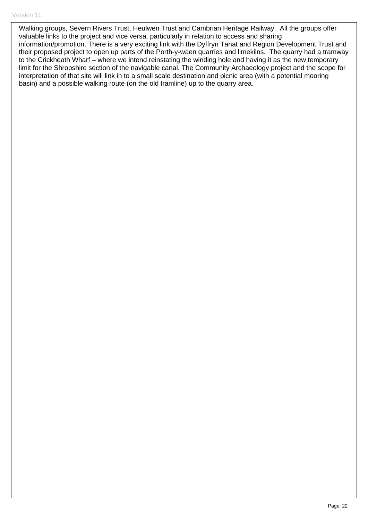Walking groups, Severn Rivers Trust, Heulwen Trust and Cambrian Heritage Railway. All the groups offer valuable links to the project and vice versa, particularly in relation to access and sharing information/promotion. There is a very exciting link with the Dyffryn Tanat and Region Development Trust and their proposed project to open up parts of the Porth-y-waen quarries and limekilns. The quarry had a tramway to the Crickheath Wharf – where we intend reinstating the winding hole and having it as the new temporary limit for the Shropshire section of the navigable canal. The Community Archaeology project and the scope for interpretation of that site will link in to a small scale destination and picnic area (with a potential mooring basin) and a possible walking route (on the old tramline) up to the quarry area.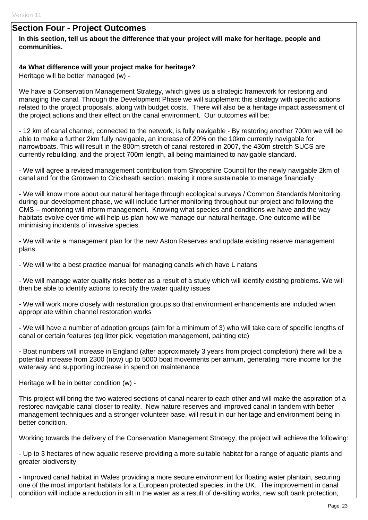## **Section Four - Project Outcomes**

#### **In this section, tell us about the difference that your project will make for heritage, people and communities.**

#### **4a What difference will your project make for heritage?**

Heritage will be better managed (w) -

We have a Conservation Management Strategy, which gives us a strategic framework for restoring and managing the canal. Through the Development Phase we will supplement this strategy with specific actions related to the project proposals, along with budget costs. There will also be a heritage impact assessment of the project actions and their effect on the canal environment. Our outcomes will be:

- 12 km of canal channel, connected to the network, is fully navigable - By restoring another 700m we will be able to make a further 2km fully navigable, an increase of 20% on the 10km currently navigable for narrowboats. This will result in the 800m stretch of canal restored in 2007, the 430m stretch SUCS are currently rebuilding, and the project 700m length, all being maintained to navigable standard.

- We will agree a revised management contribution from Shropshire Council for the newly navigable 2km of canal and for the Gronwen to Crickheath section, making it more sustainable to manage financially

- We will know more about our natural heritage through ecological surveys / Common Standards Monitoring during our development phase, we will include further monitoring throughout our project and following the CMS – monitoring will inform management. Knowing what species and conditions we have and the way habitats evolve over time will help us plan how we manage our natural heritage. One outcome will be minimising incidents of invasive species.

- We will write a management plan for the new Aston Reserves and update existing reserve management plans.

- We will write a best practice manual for managing canals which have L natans

- We will manage water quality risks better as a result of a study which will identify existing problems. We will then be able to identify actions to rectify the water quality issues

- We will work more closely with restoration groups so that environment enhancements are included when appropriate within channel restoration works

- We will have a number of adoption groups (aim for a minimum of 3) who will take care of specific lengths of canal or certain features (eg litter pick, vegetation management, painting etc)

- Boat numbers will increase in England (after approximately 3 years from project completion) there will be a potential increase from 2300 (now) up to 5000 boat movements per annum, generating more income for the waterway and supporting increase in spend on maintenance

Heritage will be in better condition (w) -

This project will bring the two watered sections of canal nearer to each other and will make the aspiration of a restored navigable canal closer to reality. New nature reserves and improved canal in tandem with better management techniques and a stronger volunteer base, will result in our heritage and environment being in better condition.

Working towards the delivery of the Conservation Management Strategy, the project will achieve the following:

- Up to 3 hectares of new aquatic reserve providing a more suitable habitat for a range of aquatic plants and greater biodiversity

- Improved canal habitat in Wales providing a more secure environment for floating water plantain, securing one of the most important habitats for a European protected species, in the UK. The improvement in canal condition will include a reduction in silt in the water as a result of de-silting works, new soft bank protection,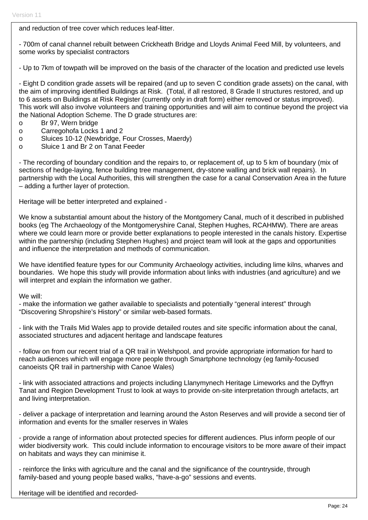and reduction of tree cover which reduces leaf-litter.

- 700m of canal channel rebuilt between Crickheath Bridge and Lloyds Animal Feed Mill, by volunteers, and some works by specialist contractors

- Up to 7km of towpath will be improved on the basis of the character of the location and predicted use levels

- Eight D condition grade assets will be repaired (and up to seven C condition grade assets) on the canal, with the aim of improving identified Buildings at Risk. (Total, if all restored, 8 Grade II structures restored, and up to 6 assets on Buildings at Risk Register (currently only in draft form) either removed or status improved). This work will also involve volunteers and training opportunities and will aim to continue beyond the project via the National Adoption Scheme. The D grade structures are:

- o Br 97, Wern bridge
- o Carregohofa Locks 1 and 2
- o Sluices 10-12 (Newbridge, Four Crosses, Maerdy)
- o Sluice 1 and Br 2 on Tanat Feeder

- The recording of boundary condition and the repairs to, or replacement of, up to 5 km of boundary (mix of sections of hedge-laying, fence building tree management, dry-stone walling and brick wall repairs). In partnership with the Local Authorities, this will strengthen the case for a canal Conservation Area in the future – adding a further layer of protection.

Heritage will be better interpreted and explained -

We know a substantial amount about the history of the Montgomery Canal, much of it described in published books (eg The Archaeology of the Montgomeryshire Canal, Stephen Hughes, RCAHMW). There are areas where we could learn more or provide better explanations to people interested in the canals history. Expertise within the partnership (including Stephen Hughes) and project team will look at the gaps and opportunities and influence the interpretation and methods of communication.

We have identified feature types for our Community Archaeology activities, including lime kilns, wharves and boundaries. We hope this study will provide information about links with industries (and agriculture) and we will interpret and explain the information we gather.

We will:

- make the information we gather available to specialists and potentially "general interest" through "Discovering Shropshire's History" or similar web-based formats.

- link with the Trails Mid Wales app to provide detailed routes and site specific information about the canal, associated structures and adjacent heritage and landscape features

- follow on from our recent trial of a QR trail in Welshpool, and provide appropriate information for hard to reach audiences which will engage more people through Smartphone technology (eg family-focused canoeists QR trail in partnership with Canoe Wales)

- link with associated attractions and projects including Llanymynech Heritage Limeworks and the Dyffryn Tanat and Region Development Trust to look at ways to provide on-site interpretation through artefacts, art and living interpretation.

- deliver a package of interpretation and learning around the Aston Reserves and will provide a second tier of information and events for the smaller reserves in Wales

- provide a range of information about protected species for different audiences. Plus inform people of our wider biodiversity work. This could include information to encourage visitors to be more aware of their impact on habitats and ways they can minimise it.

- reinforce the links with agriculture and the canal and the significance of the countryside, through family-based and young people based walks, "have-a-go" sessions and events.

Heritage will be identified and recorded-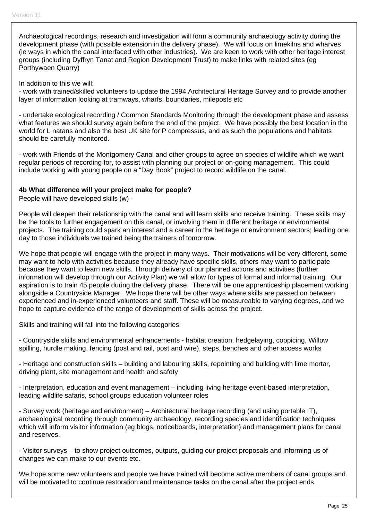Archaeological recordings, research and investigation will form a community archaeology activity during the development phase (with possible extension in the delivery phase). We will focus on limekilns and wharves (ie ways in which the canal interfaced with other industries). We are keen to work with other heritage interest groups (including Dyffryn Tanat and Region Development Trust) to make links with related sites (eg Porthywaen Quarry)

In addition to this we will:

- work with trained/skilled volunteers to update the 1994 Architectural Heritage Survey and to provide another layer of information looking at tramways, wharfs, boundaries, mileposts etc

- undertake ecological recording / Common Standards Monitoring through the development phase and assess what features we should survey again before the end of the project. We have possibly the best location in the world for L natans and also the best UK site for P compressus, and as such the populations and habitats should be carefully monitored.

- work with Friends of the Montgomery Canal and other groups to agree on species of wildlife which we want regular periods of recording for, to assist with planning our project or on-going management. This could include working with young people on a "Day Book" project to record wildlife on the canal.

#### **4b What difference will your project make for people?**

People will have developed skills (w) -

People will deepen their relationship with the canal and will learn skills and receive training. These skills may be the tools to further engagement on this canal, or involving them in different heritage or environmental projects. The training could spark an interest and a career in the heritage or environment sectors; leading one day to those individuals we trained being the trainers of tomorrow.

We hope that people will engage with the project in many ways. Their motivations will be very different, some may want to help with activities because they already have specific skills, others may want to participate because they want to learn new skills. Through delivery of our planned actions and activities (further information will develop through our Activity Plan) we will allow for types of formal and informal training. Our aspiration is to train 45 people during the delivery phase. There will be one apprenticeship placement working alongside a Countryside Manager. We hope there will be other ways where skills are passed on between experienced and in-experienced volunteers and staff. These will be measureable to varying degrees, and we hope to capture evidence of the range of development of skills across the project.

Skills and training will fall into the following categories:

- Countryside skills and environmental enhancements - habitat creation, hedgelaying, coppicing, Willow spilling, hurdle making, fencing (post and rail, post and wire), steps, benches and other access works

- Heritage and construction skills – building and labouring skills, repointing and building with lime mortar, driving plant, site management and health and safety

- Interpretation, education and event management – including living heritage event-based interpretation, leading wildlife safaris, school groups education volunteer roles

- Survey work (heritage and environment) – Architectural heritage recording (and using portable IT), archaeological recording through community archaeology, recording species and identification techniques which will inform visitor information (eg blogs, noticeboards, interpretation) and management plans for canal and reserves.

- Visitor surveys – to show project outcomes, outputs, guiding our project proposals and informing us of changes we can make to our events etc.

We hope some new volunteers and people we have trained will become active members of canal groups and will be motivated to continue restoration and maintenance tasks on the canal after the project ends.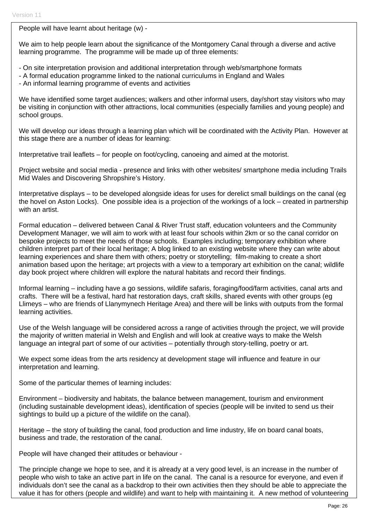People will have learnt about heritage (w) -

We aim to help people learn about the significance of the Montgomery Canal through a diverse and active learning programme. The programme will be made up of three elements:

- On site interpretation provision and additional interpretation through web/smartphone formats
- A formal education programme linked to the national curriculums in England and Wales
- An informal learning programme of events and activities

We have identified some target audiences; walkers and other informal users, day/short stay visitors who may be visiting in conjunction with other attractions, local communities (especially families and young people) and school groups.

We will develop our ideas through a learning plan which will be coordinated with the Activity Plan. However at this stage there are a number of ideas for learning:

Interpretative trail leaflets – for people on foot/cycling, canoeing and aimed at the motorist.

Project website and social media - presence and links with other websites/ smartphone media including Trails Mid Wales and Discovering Shropshire's History.

Interpretative displays – to be developed alongside ideas for uses for derelict small buildings on the canal (eg the hovel on Aston Locks). One possible idea is a projection of the workings of a lock – created in partnership with an artist.

Formal education – delivered between Canal & River Trust staff, education volunteers and the Community Development Manager, we will aim to work with at least four schools within 2km or so the canal corridor on bespoke projects to meet the needs of those schools. Examples including; temporary exhibition where children interpret part of their local heritage; A blog linked to an existing website where they can write about learning experiences and share them with others; poetry or storytelling; film-making to create a short animation based upon the heritage; art projects with a view to a temporary art exhibition on the canal; wildlife day book project where children will explore the natural habitats and record their findings.

Informal learning – including have a go sessions, wildlife safaris, foraging/food/farm activities, canal arts and crafts. There will be a festival, hard hat restoration days, craft skills, shared events with other groups (eg Llimeys – who are friends of Llanymynech Heritage Area) and there will be links with outputs from the formal learning activities.

Use of the Welsh language will be considered across a range of activities through the project, we will provide the majority of written material in Welsh and English and will look at creative ways to make the Welsh language an integral part of some of our activities – potentially through story-telling, poetry or art.

We expect some ideas from the arts residency at development stage will influence and feature in our interpretation and learning.

Some of the particular themes of learning includes:

Environment – biodiversity and habitats, the balance between management, tourism and environment (including sustainable development ideas), identification of species (people will be invited to send us their sightings to build up a picture of the wildlife on the canal).

Heritage – the story of building the canal, food production and lime industry, life on board canal boats, business and trade, the restoration of the canal.

People will have changed their attitudes or behaviour -

The principle change we hope to see, and it is already at a very good level, is an increase in the number of people who wish to take an active part in life on the canal. The canal is a resource for everyone, and even if individuals don't see the canal as a backdrop to their own activities then they should be able to appreciate the value it has for others (people and wildlife) and want to help with maintaining it. A new method of volunteering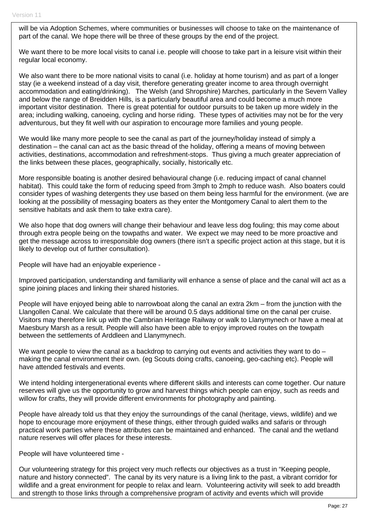will be via Adoption Schemes, where communities or businesses will choose to take on the maintenance of part of the canal. We hope there will be three of these groups by the end of the project.

We want there to be more local visits to canal i.e. people will choose to take part in a leisure visit within their regular local economy.

We also want there to be more national visits to canal (i.e. holiday at home tourism) and as part of a longer stay (ie a weekend instead of a day visit, therefore generating greater income to area through overnight accommodation and eating/drinking). The Welsh (and Shropshire) Marches, particularly in the Severn Valley and below the range of Breidden Hills, is a particularly beautiful area and could become a much more important visitor destination. There is great potential for outdoor pursuits to be taken up more widely in the area; including walking, canoeing, cycling and horse riding. These types of activities may not be for the very adventurous, but they fit well with our aspiration to encourage more families and young people.

We would like many more people to see the canal as part of the journey/holiday instead of simply a destination – the canal can act as the basic thread of the holiday, offering a means of moving between activities, destinations, accommodation and refreshment-stops. Thus giving a much greater appreciation of the links between these places, geographically, socially, historically etc.

More responsible boating is another desired behavioural change (i.e. reducing impact of canal channel habitat). This could take the form of reducing speed from 3mph to 2mph to reduce wash. Also boaters could consider types of washing detergents they use based on them being less harmful for the environment. (we are looking at the possibility of messaging boaters as they enter the Montgomery Canal to alert them to the sensitive habitats and ask them to take extra care).

We also hope that dog owners will change their behaviour and leave less dog fouling; this may come about through extra people being on the towpaths and water. We expect we may need to be more proactive and get the message across to irresponsible dog owners (there isn't a specific project action at this stage, but it is likely to develop out of further consultation).

People will have had an enjoyable experience -

Improved participation, understanding and familiarity will enhance a sense of place and the canal will act as a spine joining places and linking their shared histories.

People will have enjoyed being able to narrowboat along the canal an extra 2km – from the junction with the Llangollen Canal. We calculate that there will be around 0.5 days additional time on the canal per cruise. Visitors may therefore link up with the Cambrian Heritage Railway or walk to Llanymynech or have a meal at Maesbury Marsh as a result. People will also have been able to enjoy improved routes on the towpath between the settlements of Arddleen and Llanymynech.

We want people to view the canal as a backdrop to carrying out events and activities they want to do  $$ making the canal environment their own. (eg Scouts doing crafts, canoeing, geo-caching etc). People will have attended festivals and events.

We intend holding intergenerational events where different skills and interests can come together. Our nature reserves will give us the opportunity to grow and harvest things which people can enjoy, such as reeds and willow for crafts, they will provide different environments for photography and painting.

People have already told us that they enjoy the surroundings of the canal (heritage, views, wildlife) and we hope to encourage more enjoyment of these things, either through guided walks and safaris or through practical work parties where these attributes can be maintained and enhanced. The canal and the wetland nature reserves will offer places for these interests.

People will have volunteered time -

Our volunteering strategy for this project very much reflects our objectives as a trust in "Keeping people, nature and history connected". The canal by its very nature is a living link to the past, a vibrant corridor for wildlife and a great environment for people to relax and learn. Volunteering activity will seek to add breadth and strength to those links through a comprehensive program of activity and events which will provide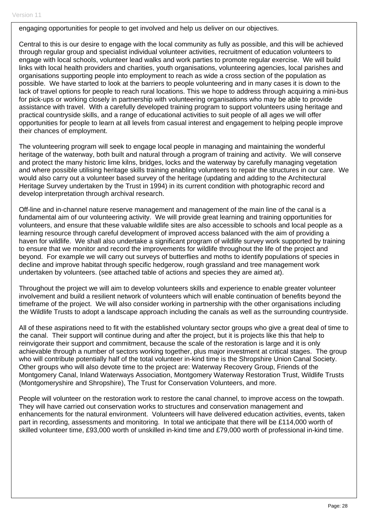engaging opportunities for people to get involved and help us deliver on our objectives.

Central to this is our desire to engage with the local community as fully as possible, and this will be achieved through regular group and specialist individual volunteer activities, recruitment of education volunteers to engage with local schools, volunteer lead walks and work parties to promote regular exercise. We will build links with local health providers and charities, youth organisations, volunteering agencies, local parishes and organisations supporting people into employment to reach as wide a cross section of the population as possible. We have started to look at the barriers to people volunteering and in many cases it is down to the lack of travel options for people to reach rural locations. This we hope to address through acquiring a mini-bus for pick-ups or working closely in partnership with volunteering organisations who may be able to provide assistance with travel. With a carefully developed training program to support volunteers using heritage and practical countryside skills, and a range of educational activities to suit people of all ages we will offer opportunities for people to learn at all levels from casual interest and engagement to helping people improve their chances of employment.

The volunteering program will seek to engage local people in managing and maintaining the wonderful heritage of the waterway, both built and natural through a program of training and activity. We will conserve and protect the many historic lime kilns, bridges, locks and the waterway by carefully managing vegetation and where possible utilising heritage skills training enabling volunteers to repair the structures in our care. We would also carry out a volunteer based survey of the heritage (updating and adding to the Architectural Heritage Survey undertaken by the Trust in 1994) in its current condition with photographic record and develop interpretation through archival research.

Off-line and in-channel nature reserve management and management of the main line of the canal is a fundamental aim of our volunteering activity. We will provide great learning and training opportunities for volunteers, and ensure that these valuable wildlife sites are also accessible to schools and local people as a learning resource through careful development of improved access balanced with the aim of providing a haven for wildlife. We shall also undertake a significant program of wildlife survey work supported by training to ensure that we monitor and record the improvements for wildlife throughout the life of the project and beyond. For example we will carry out surveys of butterflies and moths to identify populations of species in decline and improve habitat through specific hedgerow, rough grassland and tree management work undertaken by volunteers. (see attached table of actions and species they are aimed at).

Throughout the project we will aim to develop volunteers skills and experience to enable greater volunteer involvement and build a resilient network of volunteers which will enable continuation of benefits beyond the timeframe of the project. We will also consider working in partnership with the other organisations including the Wildlife Trusts to adopt a landscape approach including the canals as well as the surrounding countryside.

All of these aspirations need to fit with the established voluntary sector groups who give a great deal of time to the canal. Their support will continue during and after the project, but it is projects like this that help to reinvigorate their support and commitment, because the scale of the restoration is large and it is only achievable through a number of sectors working together, plus major investment at critical stages. The group who will contribute potentially half of the total volunteer in-kind time is the Shropshire Union Canal Society. Other groups who will also devote time to the project are: Waterway Recovery Group, Friends of the Montgomery Canal, Inland Waterways Association, Montgomery Waterway Restoration Trust, Wildlife Trusts (Montgomeryshire and Shropshire), The Trust for Conservation Volunteers, and more.

People will volunteer on the restoration work to restore the canal channel, to improve access on the towpath. They will have carried out conservation works to structures and conservation management and enhancements for the natural environment. Volunteers will have delivered education activities, events, taken part in recording, assessments and monitoring. In total we anticipate that there will be £114,000 worth of skilled volunteer time, £93,000 worth of unskilled in-kind time and £79,000 worth of professional in-kind time.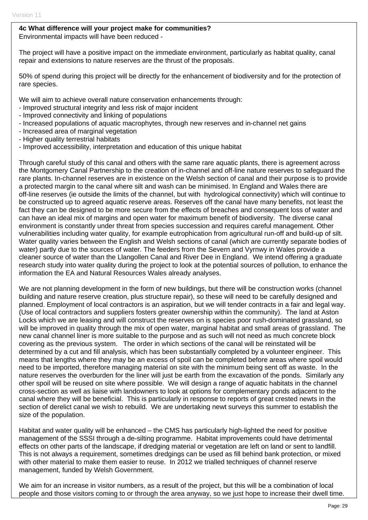#### **4c What difference will your project make for communities?**

Environmental impacts will have been reduced -

The project will have a positive impact on the immediate environment, particularly as habitat quality, canal repair and extensions to nature reserves are the thrust of the proposals.

50% of spend during this project will be directly for the enhancement of biodiversity and for the protection of rare species.

We will aim to achieve overall nature conservation enhancements through:

- Improved structural integrity and less risk of major incident
- Improved connectivity and linking of populations
- Increased populations of aquatic macrophytes, through new reserves and in-channel net gains
- Increased area of marginal vegetation
- Higher quality terrestrial habitats
- Improved accessibility, interpretation and education of this unique habitat

Through careful study of this canal and others with the same rare aquatic plants, there is agreement across the Montgomery Canal Partnership to the creation of in-channel and off-line nature reserves to safeguard the rare plants. In-channel reserves are in existence on the Welsh section of canal and their purpose is to provide a protected margin to the canal where silt and wash can be minimised. In England and Wales there are off-line reserves (ie outside the limits of the channel, but with hydrological connectivity) which will continue to be constructed up to agreed aquatic reserve areas. Reserves off the canal have many benefits, not least the fact they can be designed to be more secure from the effects of breaches and consequent loss of water and can have an ideal mix of margins and open water for maximum benefit of biodiversity. The diverse canal environment is constantly under threat from species succession and requires careful management. Other vulnerabilities including water quality, for example eutrophication from agricultural run-off and build-up of silt. Water quality varies between the English and Welsh sections of canal (which are currently separate bodies of water) partly due to the sources of water. The feeders from the Severn and Vyrnwy in Wales provide a cleaner source of water than the Llangollen Canal and River Dee in England. We intend offering a graduate research study into water quality during the project to look at the potential sources of pollution, to enhance the information the EA and Natural Resources Wales already analyses.

We are not planning development in the form of new buildings, but there will be construction works (channel building and nature reserve creation, plus structure repair), so these will need to be carefully designed and planned. Employment of local contractors is an aspiration, but we will tender contracts in a fair and legal way. (Use of local contractors and suppliers fosters greater ownership within the community). The land at Aston Locks which we are leasing and will construct the reserves on is species poor rush-dominated grassland, so will be improved in quality through the mix of open water, marginal habitat and small areas of grassland. The new canal channel liner is more suitable to the purpose and as such will not need as much concrete block covering as the previous system. The order in which sections of the canal will be reinstated will be determined by a cut and fill analysis, which has been substantially completed by a volunteer engineer. This means that lengths where they may be an excess of spoil can be completed before areas where spoil would need to be imported, therefore managing material on site with the minimum being sent off as waste. In the nature reserves the overburden for the liner will just be earth from the excavation of the ponds. Similarly any other spoil will be reused on site where possible. We will design a range of aquatic habitats in the channel cross-section as well as liaise with landowners to look at options for complementary ponds adjacent to the canal where they will be beneficial. This is particularly in response to reports of great crested newts in the section of derelict canal we wish to rebuild. We are undertaking newt surveys this summer to establish the size of the population.

Habitat and water quality will be enhanced – the CMS has particularly high-lighted the need for positive management of the SSSI through a de-silting programme. Habitat improvements could have detrimental effects on other parts of the landscape, if dredging material or vegetation are left on land or sent to landfill. This is not always a requirement, sometimes dredgings can be used as fill behind bank protection, or mixed with other material to make them easier to reuse. In 2012 we trialled techniques of channel reserve management, funded by Welsh Government.

We aim for an increase in visitor numbers, as a result of the project, but this will be a combination of local people and those visitors coming to or through the area anyway, so we just hope to increase their dwell time.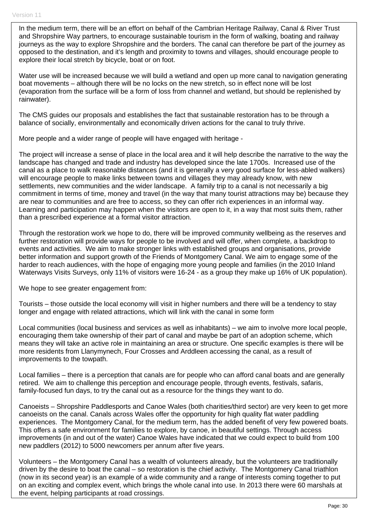In the medium term, there will be an effort on behalf of the Cambrian Heritage Railway, Canal & River Trust and Shropshire Way partners, to encourage sustainable tourism in the form of walking, boating and railway journeys as the way to explore Shropshire and the borders. The canal can therefore be part of the journey as opposed to the destination, and it's length and proximity to towns and villages, should encourage people to explore their local stretch by bicycle, boat or on foot.

Water use will be increased because we will build a wetland and open up more canal to navigation generating boat movements – although there will be no locks on the new stretch, so in effect none will be lost (evaporation from the surface will be a form of loss from channel and wetland, but should be replenished by rainwater).

The CMS guides our proposals and establishes the fact that sustainable restoration has to be through a balance of socially, environmentally and economically driven actions for the canal to truly thrive.

More people and a wider range of people will have engaged with heritage -

The project will increase a sense of place in the local area and it will help describe the narrative to the way the landscape has changed and trade and industry has developed since the late 1700s. Increased use of the canal as a place to walk reasonable distances (and it is generally a very good surface for less-abled walkers) will encourage people to make links between towns and villages they may already know, with new settlements, new communities and the wider landscape. A family trip to a canal is not necessarily a big commitment in terms of time, money and travel (in the way that many tourist attractions may be) because they are near to communities and are free to access, so they can offer rich experiences in an informal way. Learning and participation may happen when the visitors are open to it, in a way that most suits them, rather than a prescribed experience at a formal visitor attraction.

Through the restoration work we hope to do, there will be improved community wellbeing as the reserves and further restoration will provide ways for people to be involved and will offer, when complete, a backdrop to events and activities. We aim to make stronger links with established groups and organisations, provide better information and support growth of the Friends of Montgomery Canal. We aim to engage some of the harder to reach audiences, with the hope of engaging more young people and families (in the 2010 Inland Waterways Visits Surveys, only 11% of visitors were 16-24 - as a group they make up 16% of UK population).

We hope to see greater engagement from:

Tourists – those outside the local economy will visit in higher numbers and there will be a tendency to stay longer and engage with related attractions, which will link with the canal in some form

Local communities (local business and services as well as inhabitants) – we aim to involve more local people, encouraging them take ownership of their part of canal and maybe be part of an adoption scheme, which means they will take an active role in maintaining an area or structure. One specific examples is there will be more residents from Llanymynech, Four Crosses and Arddleen accessing the canal, as a result of improvements to the towpath.

Local families – there is a perception that canals are for people who can afford canal boats and are generally retired. We aim to challenge this perception and encourage people, through events, festivals, safaris, family-focused fun days, to try the canal out as a resource for the things they want to do.

Canoeists – Shropshire Paddlesports and Canoe Wales (both charities/third sector) are very keen to get more canoeists on the canal. Canals across Wales offer the opportunity for high quality flat water paddling experiences. The Montgomery Canal, for the medium term, has the added benefit of very few powered boats. This offers a safe environment for families to explore, by canoe, in beautiful settings. Through access improvements (in and out of the water) Canoe Wales have indicated that we could expect to build from 100 new paddlers (2012) to 5000 newcomers per annum after five years.

Volunteers – the Montgomery Canal has a wealth of volunteers already, but the volunteers are traditionally driven by the desire to boat the canal – so restoration is the chief activity. The Montgomery Canal triathlon (now in its second year) is an example of a wide community and a range of interests coming together to put on an exciting and complex event, which brings the whole canal into use. In 2013 there were 60 marshals at the event, helping participants at road crossings.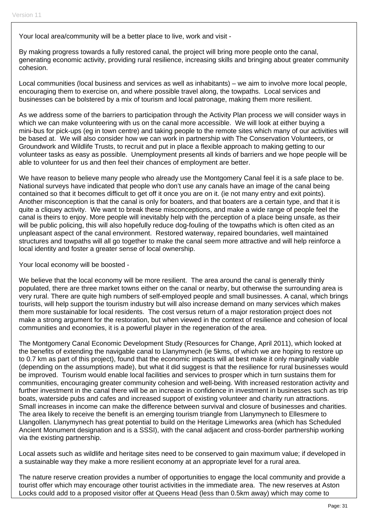Your local area/community will be a better place to live, work and visit -

By making progress towards a fully restored canal, the project will bring more people onto the canal, generating economic activity, providing rural resilience, increasing skills and bringing about greater community cohesion.

Local communities (local business and services as well as inhabitants) – we aim to involve more local people, encouraging them to exercise on, and where possible travel along, the towpaths. Local services and businesses can be bolstered by a mix of tourism and local patronage, making them more resilient.

As we address some of the barriers to participation through the Activity Plan process we will consider ways in which we can make volunteering with us on the canal more accessible. We will look at either buying a mini-bus for pick-ups (eg in town centre) and taking people to the remote sites which many of our activities will be based at. We will also consider how we can work in partnership with The Conservation Volunteers, or Groundwork and Wildlife Trusts, to recruit and put in place a flexible approach to making getting to our volunteer tasks as easy as possible. Unemployment presents all kinds of barriers and we hope people will be able to volunteer for us and then feel their chances of employment are better.

We have reason to believe many people who already use the Montgomery Canal feel it is a safe place to be. National surveys have indicated that people who don't use any canals have an image of the canal being contained so that it becomes difficult to get off it once you are on it. (ie not many entry and exit points). Another misconception is that the canal is only for boaters, and that boaters are a certain type, and that it is quite a cliquey activity. We want to break these misconceptions, and make a wide range of people feel the canal is theirs to enjoy. More people will inevitably help with the perception of a place being unsafe, as their will be public policing, this will also hopefully reduce dog-fouling of the towpaths which is often cited as an unpleasant aspect of the canal environment. Restored waterway, repaired boundaries, well maintained structures and towpaths will all go together to make the canal seem more attractive and will help reinforce a local identity and foster a greater sense of local ownership.

Your local economy will be boosted -

We believe that the local economy will be more resilient. The area around the canal is generally thinly populated, there are three market towns either on the canal or nearby, but otherwise the surrounding area is very rural. There are quite high numbers of self-employed people and small businesses. A canal, which brings tourists, will help support the tourism industry but will also increase demand on many services which makes them more sustainable for local residents. The cost versus return of a major restoration project does not make a strong argument for the restoration, but when viewed in the context of resilience and cohesion of local communities and economies, it is a powerful player in the regeneration of the area.

The Montgomery Canal Economic Development Study (Resources for Change, April 2011), which looked at the benefits of extending the navigable canal to Llanymynech (ie 5kms, of which we are hoping to restore up to 0.7 km as part of this project), found that the economic impacts will at best make it only marginally viable (depending on the assumptions made), but what it did suggest is that the resilience for rural businesses would be improved. Tourism would enable local facilities and services to prosper which in turn sustains them for communities, encouraging greater community cohesion and well-being. With increased restoration activity and further investment in the canal there will be an increase in confidence in investment in businesses such as trip boats, waterside pubs and cafes and increased support of existing volunteer and charity run attractions. Small increases in income can make the difference between survival and closure of businesses and charities. The area likely to receive the benefit is an emerging tourism triangle from Llanymynech to Ellesmere to Llangollen. Llanymynech has great potential to build on the Heritage Limeworks area (which has Scheduled Ancient Monument designation and is a SSSI), with the canal adjacent and cross-border partnership working via the existing partnership.

Local assets such as wildlife and heritage sites need to be conserved to gain maximum value; if developed in a sustainable way they make a more resilient economy at an appropriate level for a rural area.

The nature reserve creation provides a number of opportunities to engage the local community and provide a tourist offer which may encourage other tourist activities in the immediate area. The new reserves at Aston Locks could add to a proposed visitor offer at Queens Head (less than 0.5km away) which may come to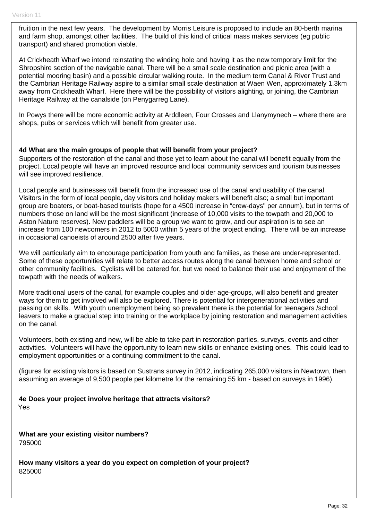fruition in the next few years. The development by Morris Leisure is proposed to include an 80-berth marina and farm shop, amongst other facilities. The build of this kind of critical mass makes services (eg public transport) and shared promotion viable.

At Crickheath Wharf we intend reinstating the winding hole and having it as the new temporary limit for the Shropshire section of the navigable canal. There will be a small scale destination and picnic area (with a potential mooring basin) and a possible circular walking route. In the medium term Canal & River Trust and the Cambrian Heritage Railway aspire to a similar small scale destination at Waen Wen, approximately 1.3km away from Crickheath Wharf. Here there will be the possibility of visitors alighting, or joining, the Cambrian Heritage Railway at the canalside (on Penygarreg Lane).

In Powys there will be more economic activity at Arddleen, Four Crosses and Llanymynech – where there are shops, pubs or services which will benefit from greater use.

#### **4d What are the main groups of people that will benefit from your project?**

Supporters of the restoration of the canal and those yet to learn about the canal will benefit equally from the project. Local people will have an improved resource and local community services and tourism businesses will see improved resilience.

Local people and businesses will benefit from the increased use of the canal and usability of the canal. Visitors in the form of local people, day visitors and holiday makers will benefit also; a small but important group are boaters, or boat-based tourists (hope for a 4500 increase in "crew-days" per annum), but in terms of numbers those on land will be the most significant (increase of 10,000 visits to the towpath and 20,000 to Aston Nature reserves). New paddlers will be a group we want to grow, and our aspiration is to see an increase from 100 newcomers in 2012 to 5000 within 5 years of the project ending. There will be an increase in occasional canoeists of around 2500 after five years.

We will particularly aim to encourage participation from youth and families, as these are under-represented. Some of these opportunities will relate to better access routes along the canal between home and school or other community facilities. Cyclists will be catered for, but we need to balance their use and enjoyment of the towpath with the needs of walkers.

More traditional users of the canal, for example couples and older age-groups, will also benefit and greater ways for them to get involved will also be explored. There is potential for intergenerational activities and passing on skills. With youth unemployment being so prevalent there is the potential for teenagers /school leavers to make a gradual step into training or the workplace by joining restoration and management activities on the canal.

Volunteers, both existing and new, will be able to take part in restoration parties, surveys, events and other activities. Volunteers will have the opportunity to learn new skills or enhance existing ones. This could lead to employment opportunities or a continuing commitment to the canal.

(figures for existing visitors is based on Sustrans survey in 2012, indicating 265,000 visitors in Newtown, then assuming an average of 9,500 people per kilometre for the remaining 55 km - based on surveys in 1996).

**4e Does your project involve heritage that attracts visitors?**  Yes

**What are your existing visitor numbers?**  795000

**How many visitors a year do you expect on completion of your project?**  825000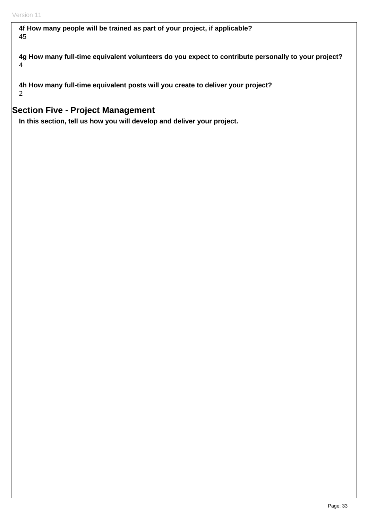**4f How many people will be trained as part of your project, if applicable?**  45

**4g How many full-time equivalent volunteers do you expect to contribute personally to your project?**  4

**4h How many full-time equivalent posts will you create to deliver your project?**  2

# **Section Five - Project Management**

**In this section, tell us how you will develop and deliver your project.**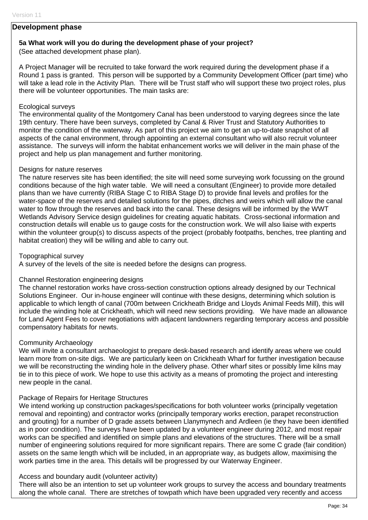#### **Development phase**

#### **5a What work will you do during the development phase of your project?**

(See attached development phase plan).

A Project Manager will be recruited to take forward the work required during the development phase if a Round 1 pass is granted. This person will be supported by a Community Development Officer (part time) who will take a lead role in the Activity Plan. There will be Trust staff who will support these two project roles, plus there will be volunteer opportunities. The main tasks are:

#### Ecological surveys

The environmental quality of the Montgomery Canal has been understood to varying degrees since the late 19th century. There have been surveys, completed by Canal & River Trust and Statutory Authorities to monitor the condition of the waterway. As part of this project we aim to get an up-to-date snapshot of all aspects of the canal environment, through appointing an external consultant who will also recruit volunteer assistance. The surveys will inform the habitat enhancement works we will deliver in the main phase of the project and help us plan management and further monitoring.

#### Designs for nature reserves

The nature reserves site has been identified; the site will need some surveying work focussing on the ground conditions because of the high water table. We will need a consultant (Engineer) to provide more detailed plans than we have currently (RIBA Stage C to RIBA Stage D) to provide final levels and profiles for the water-space of the reserves and detailed solutions for the pipes, ditches and weirs which will allow the canal water to flow through the reserves and back into the canal. These designs will be informed by the WWT Wetlands Advisory Service design guidelines for creating aquatic habitats. Cross-sectional information and construction details will enable us to gauge costs for the construction work. We will also liaise with experts within the volunteer group(s) to discuss aspects of the project (probably footpaths, benches, tree planting and habitat creation) they will be willing and able to carry out.

#### Topographical survey

A survey of the levels of the site is needed before the designs can progress.

#### Channel Restoration engineering designs

The channel restoration works have cross-section construction options already designed by our Technical Solutions Engineer. Our in-house engineer will continue with these designs, determining which solution is applicable to which length of canal (700m between Crickheath Bridge and Lloyds Animal Feeds Mill), this will include the winding hole at Crickheath, which will need new sections providing. We have made an allowance for Land Agent Fees to cover negotiations with adjacent landowners regarding temporary access and possible compensatory habitats for newts.

#### Community Archaeology

We will invite a consultant archaeologist to prepare desk-based research and identify areas where we could learn more from on-site digs. We are particularly keen on Crickheath Wharf for further investigation because we will be reconstructing the winding hole in the delivery phase. Other wharf sites or possibly lime kilns may tie in to this piece of work. We hope to use this activity as a means of promoting the project and interesting new people in the canal.

#### Package of Repairs for Heritage Structures

We intend working up construction packages/specifications for both volunteer works (principally vegetation removal and repointing) and contractor works (principally temporary works erection, parapet reconstruction and grouting) for a number of D grade assets between Llanymynech and Ardleen (ie they have been identified as in poor condition). The surveys have been updated by a volunteer engineer during 2012, and most repair works can be specified and identified on simple plans and elevations of the structures. There will be a small number of engineering solutions required for more significant repairs. There are some C grade (fair condition) assets on the same length which will be included, in an appropriate way, as budgets allow, maximising the work parties time in the area. This details will be progressed by our Waterway Engineer.

#### Access and boundary audit (volunteer activity)

There will also be an intention to set up volunteer work groups to survey the access and boundary treatments along the whole canal. There are stretches of towpath which have been upgraded very recently and access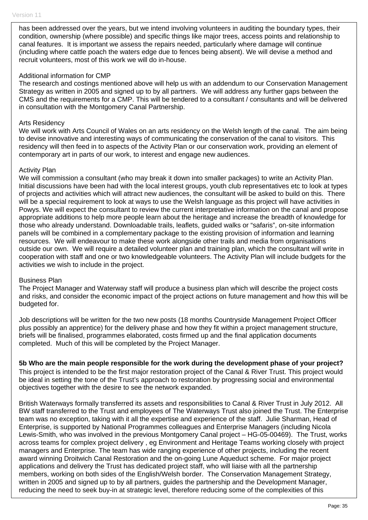has been addressed over the years, but we intend involving volunteers in auditing the boundary types, their condition, ownership (where possible) and specific things like major trees, access points and relationship to canal features. It is important we assess the repairs needed, particularly where damage will continue (including where cattle poach the waters edge due to fences being absent). We will devise a method and recruit volunteers, most of this work we will do in-house.

#### Additional information for CMP

The research and costings mentioned above will help us with an addendum to our Conservation Management Strategy as written in 2005 and signed up to by all partners. We will address any further gaps between the CMS and the requirements for a CMP. This will be tendered to a consultant / consultants and will be delivered in consultation with the Montgomery Canal Partnership.

#### Arts Residency

We will work with Arts Council of Wales on an arts residency on the Welsh length of the canal. The aim being to devise innovative and interesting ways of communicating the conservation of the canal to visitors. This residency will then feed in to aspects of the Activity Plan or our conservation work, providing an element of contemporary art in parts of our work, to interest and engage new audiences.

#### Activity Plan

We will commission a consultant (who may break it down into smaller packages) to write an Activity Plan. Initial discussions have been had with the local interest groups, youth club representatives etc to look at types of projects and activities which will attract new audiences, the consultant will be asked to build on this. There will be a special requirement to look at ways to use the Welsh language as this project will have activities in Powys. We will expect the consultant to review the current interpretative information on the canal and propose appropriate additions to help more people learn about the heritage and increase the breadth of knowledge for those who already understand. Downloadable trails, leaflets, guided walks or "safaris", on-site information panels will be combined in a complementary package to the existing provision of information and learning resources. We will endeavour to make these work alongside other trails and media from organisations outside our own. We will require a detailed volunteer plan and training plan, which the consultant will write in cooperation with staff and one or two knowledgeable volunteers. The Activity Plan will include budgets for the activities we wish to include in the project.

#### Business Plan

The Project Manager and Waterway staff will produce a business plan which will describe the project costs and risks, and consider the economic impact of the project actions on future management and how this will be budgeted for.

Job descriptions will be written for the two new posts (18 months Countryside Management Project Officer plus possibly an apprentice) for the delivery phase and how they fit within a project management structure, briefs will be finalised, programmes elaborated, costs firmed up and the final application documents completed. Much of this will be completed by the Project Manager.

**5b Who are the main people responsible for the work during the development phase of your project?** 

This project is intended to be the first major restoration project of the Canal & River Trust. This project would be ideal in setting the tone of the Trust's approach to restoration by progressing social and environmental objectives together with the desire to see the network expanded.

British Waterways formally transferred its assets and responsibilities to Canal & River Trust in July 2012. All BW staff transferred to the Trust and employees of The Waterways Trust also joined the Trust. The Enterprise team was no exception, taking with it all the expertise and experience of the staff. Julie Sharman, Head of Enterprise, is supported by National Programmes colleagues and Enterprise Managers (including Nicola Lewis-Smith, who was involved in the previous Montgomery Canal project – HG-05-00469). The Trust, works across teams for complex project delivery , eg Environment and Heritage Teams working closely with project managers and Enterprise. The team has wide ranging experience of other projects, including the recent award winning Droitwich Canal Restoration and the on-going Lune Aqueduct scheme. For major project applications and delivery the Trust has dedicated project staff, who will liaise with all the partnership members, working on both sides of the English/Welsh border. The Conservation Management Strategy, written in 2005 and signed up to by all partners, guides the partnership and the Development Manager, reducing the need to seek buy-in at strategic level, therefore reducing some of the complexities of this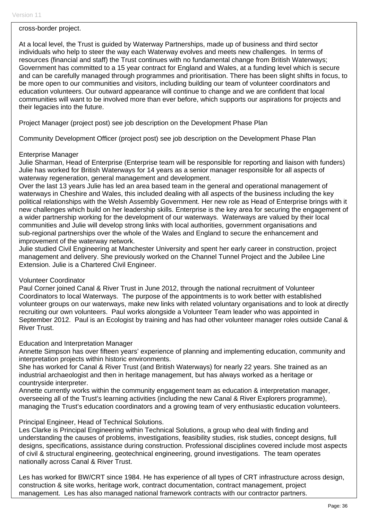cross-border project.

At a local level, the Trust is guided by Waterway Partnerships, made up of business and third sector individuals who help to steer the way each Waterway evolves and meets new challenges. In terms of resources (financial and staff) the Trust continues with no fundamental change from British Waterways; Government has committed to a 15 year contract for England and Wales, at a funding level which is secure and can be carefully managed through programmes and prioritisation. There has been slight shifts in focus, to be more open to our communities and visitors, including building our team of volunteer coordinators and education volunteers. Our outward appearance will continue to change and we are confident that local communities will want to be involved more than ever before, which supports our aspirations for projects and their legacies into the future.

Project Manager (project post) see job description on the Development Phase Plan

Community Development Officer (project post) see job description on the Development Phase Plan

#### Enterprise Manager

Julie Sharman, Head of Enterprise (Enterprise team will be responsible for reporting and liaison with funders) Julie has worked for British Waterways for 14 years as a senior manager responsible for all aspects of waterway regeneration, general management and development.

Over the last 13 years Julie has led an area based team in the general and operational management of waterways in Cheshire and Wales, this included dealing with all aspects of the business including the key political relationships with the Welsh Assembly Government. Her new role as Head of Enterprise brings with it new challenges which build on her leadership skills. Enterprise is the key area for securing the engagement of a wider partnership working for the development of our waterways. Waterways are valued by their local communities and Julie will develop strong links with local authorities, government organisations and sub-regional partnerships over the whole of the Wales and England to secure the enhancement and improvement of the waterway network.

Julie studied Civil Engineering at Manchester University and spent her early career in construction, project management and delivery. She previously worked on the Channel Tunnel Project and the Jubilee Line Extension. Julie is a Chartered Civil Engineer.

#### Volunteer Coordinator

Paul Corner joined Canal & River Trust in June 2012, through the national recruitment of Volunteer Coordinators to local Waterways. The purpose of the appointments is to work better with established volunteer groups on our waterways, make new links with related voluntary organisations and to look at directly recruiting our own volunteers. Paul works alongside a Volunteer Team leader who was appointed in September 2012. Paul is an Ecologist by training and has had other volunteer manager roles outside Canal & River Trust.

#### Education and Interpretation Manager

Annette Simpson has over fifteen years' experience of planning and implementing education, community and interpretation projects within historic environments.

She has worked for Canal & River Trust (and British Waterways) for nearly 22 years. She trained as an industrial archaeologist and then in heritage management, but has always worked as a heritage or countryside interpreter.

Annette currently works within the community engagement team as education & interpretation manager, overseeing all of the Trust's learning activities (including the new Canal & River Explorers programme), managing the Trust's education coordinators and a growing team of very enthusiastic education volunteers.

#### Principal Engineer, Head of Technical Solutions.

Les Clarke is Principal Engineering within Technical Solutions, a group who deal with finding and understanding the causes of problems, investigations, feasibility studies, risk studies, concept designs, full designs, specifications, assistance during construction. Professional disciplines covered include most aspects of civil & structural engineering, geotechnical engineering, ground investigations. The team operates nationally across Canal & River Trust.

Les has worked for BW/CRT since 1984. He has experience of all types of CRT infrastructure across design, construction & site works, heritage work, contract documentation, contract management, project management. Les has also managed national framework contracts with our contractor partners.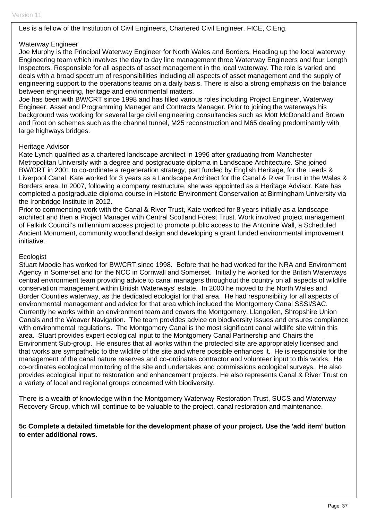#### Les is a fellow of the Institution of Civil Engineers, Chartered Civil Engineer. FICE, C.Eng.

#### Waterway Engineer

Joe Murphy is the Principal Waterway Engineer for North Wales and Borders. Heading up the local waterway Engineering team which involves the day to day line management three Waterway Engineers and four Length Inspectors. Responsible for all aspects of asset management in the local waterway. The role is varied and deals with a broad spectrum of responsibilities including all aspects of asset management and the supply of engineering support to the operations teams on a daily basis. There is also a strong emphasis on the balance between engineering, heritage and environmental matters.

Joe has been with BW/CRT since 1998 and has filled various roles including Project Engineer, Waterway Engineer, Asset and Programming Manager and Contracts Manager. Prior to joining the waterways his background was working for several large civil engineering consultancies such as Mott McDonald and Brown and Root on schemes such as the channel tunnel, M25 reconstruction and M65 dealing predominantly with large highways bridges.

#### Heritage Advisor

Kate Lynch qualified as a chartered landscape architect in 1996 after graduating from Manchester Metropolitan University with a degree and postgraduate diploma in Landscape Architecture. She joined BW/CRT in 2001 to co-ordinate a regeneration strategy, part funded by English Heritage, for the Leeds & Liverpool Canal. Kate worked for 3 years as a Landscape Architect for the Canal & River Trust in the Wales & Borders area. In 2007, following a company restructure, she was appointed as a Heritage Advisor. Kate has completed a postgraduate diploma course in Historic Environment Conservation at Birmingham University via the Ironbridge Institute in 2012.

Prior to commencing work with the Canal & River Trust, Kate worked for 8 years initially as a landscape architect and then a Project Manager with Central Scotland Forest Trust. Work involved project management of Falkirk Council's millennium access project to promote public access to the Antonine Wall, a Scheduled Ancient Monument, community woodland design and developing a grant funded environmental improvement initiative.

#### **Ecologist**

Stuart Moodie has worked for BW/CRT since 1998. Before that he had worked for the NRA and Environment Agency in Somerset and for the NCC in Cornwall and Somerset. Initially he worked for the British Waterways central environment team providing advice to canal managers throughout the country on all aspects of wildlife conservation management within British Waterways' estate. In 2000 he moved to the North Wales and Border Counties waterway, as the dedicated ecologist for that area. He had responsibility for all aspects of environmental management and advice for that area which included the Montgomery Canal SSSI/SAC. Currently he works within an environment team and covers the Montgomery, Llangollen, Shropshire Union Canals and the Weaver Navigation. The team provides advice on biodiversity issues and ensures compliance with environmental regulations. The Montgomery Canal is the most significant canal wildlife site within this area. Stuart provides expert ecological input to the Montgomery Canal Partnership and Chairs the Environment Sub-group. He ensures that all works within the protected site are appropriately licensed and that works are sympathetic to the wildlife of the site and where possible enhances it. He is responsible for the management of the canal nature reserves and co-ordinates contractor and volunteer input to this works. He co-ordinates ecological monitoring of the site and undertakes and commissions ecological surveys. He also provides ecological input to restoration and enhancement projects. He also represents Canal & River Trust on a variety of local and regional groups concerned with biodiversity.

There is a wealth of knowledge within the Montgomery Waterway Restoration Trust, SUCS and Waterway Recovery Group, which will continue to be valuable to the project, canal restoration and maintenance.

**5c Complete a detailed timetable for the development phase of your project. Use the 'add item' button to enter additional rows.**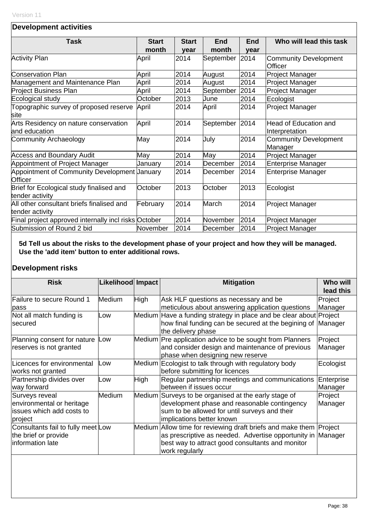## **Development activities**

| <b>Task</b>                                                    | <b>Start</b> | <b>Start</b> | End       | <b>End</b> | Who will lead this task                 |
|----------------------------------------------------------------|--------------|--------------|-----------|------------|-----------------------------------------|
|                                                                | month        | year         | month     | year       |                                         |
| <b>Activity Plan</b>                                           | April        | 2014         | September | 2014       | <b>Community Development</b>            |
|                                                                |              |              |           |            | Officer                                 |
| <b>Conservation Plan</b>                                       | April        | 2014         | August    | 2014       | <b>Project Manager</b>                  |
| Management and Maintenance Plan                                | April        | 2014         | August    | 2014       | Project Manager                         |
| Project Business Plan                                          | April        | 2014         | September | 2014       | Project Manager                         |
| Ecological study                                               | October      | 2013         | June      | 2014       | Ecologist                               |
| Topographic survey of proposed reserve<br>site                 | April        | 2014         | April     | 2014       | <b>Project Manager</b>                  |
| Arts Residency on nature conservation<br>and education         | April        | 2014         | September | 2014       | Head of Education and<br>Interpretation |
| Community Archaeology                                          | May          | 2014         | July      | 2014       | <b>Community Development</b><br>Manager |
| <b>Access and Boundary Audit</b>                               | May          | 2014         | May       | 2014       | Project Manager                         |
| Appointment of Project Manager                                 | January      | 2014         | December  | 2014       | <b>Enterprise Manager</b>               |
| Appointment of Community Development January<br><b>Officer</b> |              | 2014         | December  | 2014       | <b>Enterprise Manager</b>               |
| Brief for Ecological study finalised and<br>tender activity    | October      | 2013         | October   | 2013       | Ecologist                               |
| All other consultant briefs finalised and<br>tender activity   | February     | 2014         | March     | 2014       | <b>Project Manager</b>                  |
| Final project approved internally incl risks October           |              | 2014         | November  | 2014       | Project Manager                         |
| Submission of Round 2 bid                                      | November     | 2014         | December  | 2014       | <b>Project Manager</b>                  |

**5d Tell us about the risks to the development phase of your project and how they will be managed. Use the 'add item' button to enter additional rows.** 

# **Development risks**

| <b>Risk</b>                                                                         | Likelihood Impact |             | <b>Mitigation</b>                                                                                                                                                                                       | <b>Who will</b><br>lead this |
|-------------------------------------------------------------------------------------|-------------------|-------------|---------------------------------------------------------------------------------------------------------------------------------------------------------------------------------------------------------|------------------------------|
| Failure to secure Round 1<br>pass                                                   | <b>Medium</b>     | High        | Ask HLF questions as necessary and be<br>meticulous about answering application questions                                                                                                               | Project<br>Manager           |
| Not all match funding is<br>secured                                                 | Low               |             | Medium Have a funding strategy in place and be clear about Project<br>how final funding can be secured at the begining of Manager<br>the delivery phase                                                 |                              |
| Planning consent for nature<br>reserves is not granted                              | Low               |             | Medium Pre application advice to be sought from Planners<br>and consider design and maintenance of previous<br>phase when designing new reserve                                                         | Project<br>Manager           |
| Licences for environmental<br>works not granted                                     | Low               |             | Medium Ecologist to talk through with regulatory body<br>before submitting for licences                                                                                                                 | Ecologist                    |
| Partnership divides over<br>way forward                                             | Low               | <b>High</b> | Regular partnership meetings and communications<br>between if issues occur                                                                                                                              | Enterprise<br>Manager        |
| Surveys reveal<br>environmental or heritage<br>issues which add costs to<br>project | <b>Medium</b>     |             | Medium Surveys to be organised at the early stage of<br>development phase and reasonable contingency<br>sum to be allowed for until surveys and their<br>implications better known                      | Project<br>Manager           |
| Consultants fail to fully meet Low<br>the brief or provide<br>information late      |                   |             | Medium Allow time for reviewing draft briefs and make them Project<br>as prescriptive as needed. Advertise opportunity in Manager<br>best way to attract good consultants and monitor<br>work regularly |                              |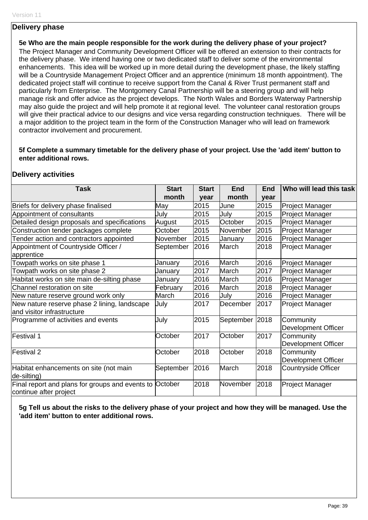#### **Delivery phase**

**5e Who are the main people responsible for the work during the delivery phase of your project?**  The Project Manager and Community Development Officer will be offered an extension to their contracts for the delivery phase. We intend having one or two dedicated staff to deliver some of the environmental enhancements. This idea will be worked up in more detail during the development phase, the likely staffing will be a Countryside Management Project Officer and an apprentice (minimum 18 month appointment). The dedicated project staff will continue to receive support from the Canal & River Trust permanent staff and particularly from Enterprise. The Montgomery Canal Partnership will be a steering group and will help manage risk and offer advice as the project develops. The North Wales and Borders Waterway Partnership may also guide the project and will help promote it at regional level. The volunteer canal restoration groups will give their practical advice to our designs and vice versa regarding construction techniques. There will be a major addition to the project team in the form of the Construction Manager who will lead on framework contractor involvement and procurement.

#### **5f Complete a summary timetable for the delivery phase of your project. Use the 'add item' button to enter additional rows.**

#### **Delivery activities**

| <b>Task</b>                                                                | <b>Start</b> | <b>Start</b> | <b>End</b>     | <b>End</b> | Who will lead this task                 |
|----------------------------------------------------------------------------|--------------|--------------|----------------|------------|-----------------------------------------|
|                                                                            | month        | year         | month          | year       |                                         |
| Briefs for delivery phase finalised                                        | May          | 2015         | June           | 2015       | <b>Project Manager</b>                  |
| Appointment of consultants                                                 | July         | 2015         | July           | 2015       | <b>Project Manager</b>                  |
| Detailed design proposals and specifications                               | August       | 2015         | October        | 2015       | Project Manager                         |
| Construction tender packages complete                                      | October      | 2015         | November       | 2015       | <b>Project Manager</b>                  |
| Tender action and contractors appointed                                    | November     | 2015         | January        | 2016       | <b>Project Manager</b>                  |
| Appointment of Countryside Officer /<br>apprentice                         | September    | 2016         | March          | 2018       | <b>Project Manager</b>                  |
| Towpath works on site phase 1                                              | January      | 2016         | March          | 2016       | Project Manager                         |
| Towpath works on site phase 2                                              | January      | 2017         | March          | 2017       | Project Manager                         |
| Habitat works on site main de-silting phase                                | January      | 2016         | March          | 2016       | Project Manager                         |
| Channel restoration on site                                                | February     | 2016         | March          | 2018       | Project Manager                         |
| New nature reserve ground work only                                        | March        | 2016         | July           | 2016       | Project Manager                         |
| New nature reserve phase 2 lining, landscape<br>and visitor infrastructure | July         | 2017         | December       | 2017       | <b>Project Manager</b>                  |
| Programme of activities and events                                         | July         | 2015         | September 2018 |            | Community<br>Development Officer        |
| Festival 1                                                                 | October      | 2017         | October        | 2017       | Community<br><b>Development Officer</b> |
| Festival 2                                                                 | October      | 2018         | October        | 2018       | Community<br><b>Development Officer</b> |
| Habitat enhancements on site (not main<br>de-silting)                      | September    | 2016         | March          | 2018       | <b>Countryside Officer</b>              |
| Final report and plans for groups and events to<br>continue after project  | October      | 2018         | November       | 2018       | <b>Project Manager</b>                  |

**5g Tell us about the risks to the delivery phase of your project and how they will be managed. Use the 'add item' button to enter additional rows.**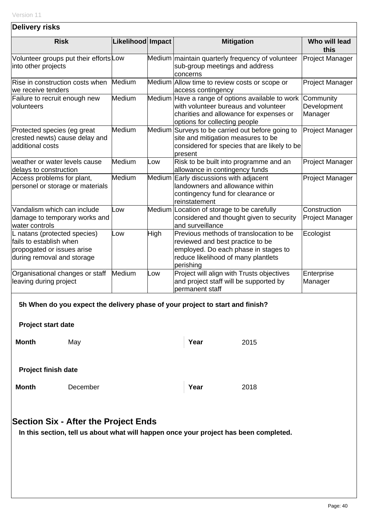| <b>Delivery risks</b>                                                                                               |                   |      |                                                                                                                                                                                      |                                        |  |
|---------------------------------------------------------------------------------------------------------------------|-------------------|------|--------------------------------------------------------------------------------------------------------------------------------------------------------------------------------------|----------------------------------------|--|
| <b>Risk</b>                                                                                                         | Likelihood Impact |      | <b>Mitigation</b>                                                                                                                                                                    | Who will lead<br>this                  |  |
| Volunteer groups put their effortsLow<br>into other projects                                                        |                   |      | Medium maintain quarterly frequency of volunteer<br>sub-group meetings and address<br>concerns                                                                                       | Project Manager                        |  |
| Rise in construction costs when<br>we receive tenders                                                               | Medium            |      | Medium Allow time to review costs or scope or<br>access contingency                                                                                                                  | Project Manager                        |  |
| Failure to recruit enough new<br>volunteers                                                                         | Medium            |      | Medium Have a range of options available to work<br>with volunteer bureaus and volunteer<br>charities and allowance for expenses or<br>options for collecting people                 | Community<br>Development<br>Manager    |  |
| Protected species (eg great<br>crested newts) cause delay and<br>additional costs                                   | Medium            |      | Medium Surveys to be carried out before going to<br>site and mitigation measures to be<br>considered for species that are likely to be<br><b>present</b>                             | Project Manager                        |  |
| weather or water levels cause<br>delays to construction                                                             | Medium            | LOW. | Risk to be built into programme and an<br>allowance in contingency funds                                                                                                             | <b>Project Manager</b>                 |  |
| Access problems for plant,<br>personel or storage or materials                                                      | Medium            |      | Medium Early discussions with adjacent<br>landowners and allowance within<br>contingency fund for clearance or<br>reinstatement                                                      | Project Manager                        |  |
| Vandalism which can include<br>damage to temporary works and<br>water controls                                      | L <sub>OW</sub>   |      | Medium Location of storage to be carefully<br>considered and thought given to security<br>and surveillance                                                                           | Construction<br><b>Project Manager</b> |  |
| L natans (protected species)<br>fails to establish when<br>propogated or issues arise<br>during removal and storage | Low               | High | Previous methods of translocation to be<br>Ecologist<br>reviewed and best practice to be<br>employed. Do each phase in stages to<br>reduce likelihood of many plantlets<br>perishing |                                        |  |
| Organisational changes or staff<br>leaving during project                                                           | Medium            | .ow  | Project will align with Trusts objectives<br>Enterprise<br>and project staff will be supported by<br>Manager<br>permanent staff                                                      |                                        |  |
|                                                                                                                     |                   |      | 5h When do you expect the delivery phase of your project to start and finish?                                                                                                        |                                        |  |
| <b>Project start date</b>                                                                                           |                   |      |                                                                                                                                                                                      |                                        |  |
| <b>Month</b><br>May                                                                                                 |                   |      | Year<br>2015                                                                                                                                                                         |                                        |  |
| <b>Project finish date</b>                                                                                          |                   |      |                                                                                                                                                                                      |                                        |  |
| <b>Month</b><br>December                                                                                            |                   |      | Year<br>2018                                                                                                                                                                         |                                        |  |
|                                                                                                                     |                   |      |                                                                                                                                                                                      |                                        |  |
| <b>Section Six - After the Project Ends</b><br>tell us shout what will bennen enes veur n                           |                   |      |                                                                                                                                                                                      |                                        |  |

**In this section, tell us about what will happen once your project has been completed.**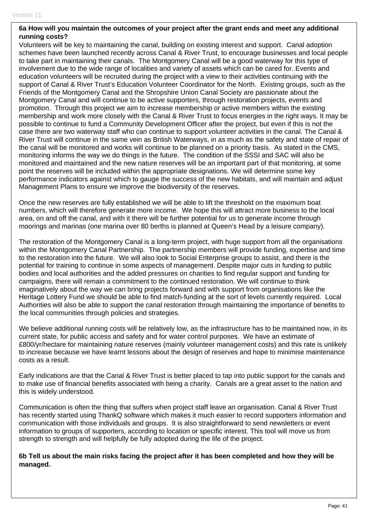#### **6a How will you maintain the outcomes of your project after the grant ends and meet any additional running costs?**

Volunteers will be key to maintaining the canal, building on existing interest and support. Canal adoption schemes have been launched recently across Canal & River Trust, to encourage businesses and local people to take part in maintaining their canals. The Montgomery Canal will be a good waterway for this type of involvement due to the wide range of localities and variety of assets which can be cared for. Events and education volunteers will be recruited during the project with a view to their activities continuing with the support of Canal & River Trust's Education Volunteer Coordinator for the North. Existing groups, such as the Friends of the Montgomery Canal and the Shropshire Union Canal Society are passionate about the Montgomery Canal and will continue to be active supporters, through restoration projects, events and promotion. Through this project we aim to increase membership or active members within the existing membership and work more closely with the Canal & River Trust to focus energies in the right ways. It may be possible to continue to fund a Community Development Officer after the project, but even if this is not the case there are two waterway staff who can continue to support volunteer activities in the canal. The Canal & River Trust will continue in the same vein as British Waterways, in as much as the safety and state of repair of the canal will be monitored and works will continue to be planned on a priority basis. As stated in the CMS, monitoring informs the way we do things in the future. The condition of the SSSI and SAC will also be monitored and maintained and the new nature reserves will be an important part of that monitoring, at some point the reserves will be included within the appropriate designations. We will determine some key performance indicators against which to gauge the success of the new habitats, and will maintain and adjust Management Plans to ensure we improve the biodiversity of the reserves.

Once the new reserves are fully established we will be able to lift the threshold on the maximum boat numbers, which will therefore generate more income. We hope this will attract more business to the local area, on and off the canal, and with it there will be further potential for us to generate income through moorings and marinas (one marina over 80 berths is planned at Queen's Head by a leisure company).

The restoration of the Montgomery Canal is a long-term project, with huge support from all the organisations within the Montgomery Canal Partnership. The partnership members will provide funding, expertise and time to the restoration into the future. We will also look to Social Enterprise groups to assist, and there is the potential for training to continue in some aspects of management. Despite major cuts in funding to public bodies and local authorities and the added pressures on charities to find regular support and funding for campaigns, there will remain a commitment to the continued restoration. We will continue to think imaginatively about the way we can bring projects forward and with support from organisations like the Heritage Lottery Fund we should be able to find match-funding at the sort of levels currently required. Local Authorities will also be able to support the canal restoration through maintaining the importance of benefits to the local communities through policies and strategies.

We believe additional running costs will be relatively low, as the infrastructure has to be maintained now, in its current state, for public access and safety and for water control purposes. We have an estimate of £800/yr/hectare for maintaining nature reserves (mainly volunteer management costs) and this rate is unlikely to increase because we have learnt lessons about the design of reserves and hope to minimise maintenance costs as a result.

Early indications are that the Canal & River Trust is better placed to tap into public support for the canals and to make use of financial benefits associated with being a charity. Canals are a great asset to the nation and this is widely understood.

Communication is often the thing that suffers when project staff leave an organisation. Canal & River Trust has recently started using ThankQ software which makes it much easier to record supporters information and communication with those individuals and groups. It is also straightforward to send newsletters or event information to groups of supporters, according to location or specific interest. This tool will move us from strength to strength and will helpfully be fully adopted during the life of the project.

**6b Tell us about the main risks facing the project after it has been completed and how they will be managed.**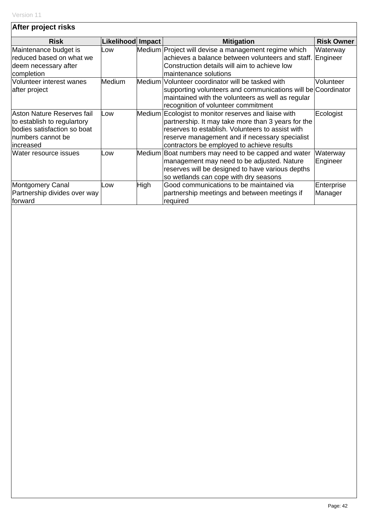| After project risks                                                                                                          |                   |      |                                                                                                                                                                                                                                                                |                       |
|------------------------------------------------------------------------------------------------------------------------------|-------------------|------|----------------------------------------------------------------------------------------------------------------------------------------------------------------------------------------------------------------------------------------------------------------|-----------------------|
| <b>Risk</b>                                                                                                                  | Likelihood Impact |      | <b>Mitigation</b>                                                                                                                                                                                                                                              | <b>Risk Owner</b>     |
| Maintenance budget is<br>reduced based on what we<br>deem necessary after<br>completion                                      | Low               |      | Medium Project will devise a management regime which<br>achieves a balance between volunteers and staff.<br>Construction details will aim to achieve low<br>maintenance solutions                                                                              | Waterway<br>Engineer  |
| Volunteer interest wanes<br>after project                                                                                    | <b>Medium</b>     |      | Medium Volunteer coordinator will be tasked with<br>supporting volunteers and communications will be Coordinator<br>maintained with the volunteers as well as regular<br>recognition of volunteer commitment                                                   | Volunteer             |
| Aston Nature Reserves fail<br>to establish to regulartory<br>bodies satisfaction so boat<br>Inumbers cannot be<br>lincreased | Low               |      | Medium Ecologist to monitor reserves and liaise with<br>partnership. It may take more than 3 years for the<br>reserves to establish. Volunteers to assist with<br>reserve management and if necessary specialist<br>contractors be employed to achieve results | Ecologist             |
| <b>Water resource issues</b>                                                                                                 | Low               |      | Medium Boat numbers may need to be capped and water<br>management may need to be adjusted. Nature<br>reserves will be designed to have various depths<br>so wetlands can cope with dry seasons                                                                 | Waterway<br>Engineer  |
| Montgomery Canal<br>Partnership divides over way<br>forward                                                                  | Low               | High | Good communications to be maintained via<br>partnership meetings and between meetings if<br>required                                                                                                                                                           | Enterprise<br>Manager |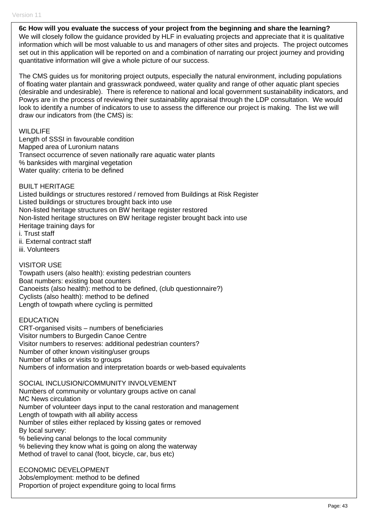**6c How will you evaluate the success of your project from the beginning and share the learning?** 

We will closely follow the guidance provided by HLF in evaluating projects and appreciate that it is qualitative information which will be most valuable to us and managers of other sites and projects. The project outcomes set out in this application will be reported on and a combination of narrating our project journey and providing quantitative information will give a whole picture of our success.

The CMS guides us for monitoring project outputs, especially the natural environment, including populations of floating water plantain and grasswrack pondweed, water quality and range of other aquatic plant species (desirable and undesirable). There is reference to national and local government sustainability indicators, and Powys are in the process of reviewing their sustainability appraisal through the LDP consultation. We would look to identify a number of indicators to use to assess the difference our project is making. The list we will draw our indicators from (the CMS) is:

#### **WILDLIFE**

Length of SSSI in favourable condition Mapped area of Luronium natans Transect occurrence of seven nationally rare aquatic water plants % banksides with marginal vegetation Water quality: criteria to be defined

BUILT HERITAGE

Listed buildings or structures restored / removed from Buildings at Risk Register Listed buildings or structures brought back into use Non-listed heritage structures on BW heritage register restored Non-listed heritage structures on BW heritage register brought back into use Heritage training days for i. Trust staff ii. External contract staff iii. Volunteers

#### VISITOR USE

Towpath users (also health): existing pedestrian counters Boat numbers: existing boat counters Canoeists (also health): method to be defined, (club questionnaire?) Cyclists (also health): method to be defined Length of towpath where cycling is permitted

EDUCATION CRT-organised visits – numbers of beneficiaries Visitor numbers to Burgedin Canoe Centre Visitor numbers to reserves: additional pedestrian counters? Number of other known visiting/user groups Number of talks or visits to groups Numbers of information and interpretation boards or web-based equivalents

SOCIAL INCLUSION/COMMUNITY INVOLVEMENT Numbers of community or voluntary groups active on canal MC News circulation Number of volunteer days input to the canal restoration and management Length of towpath with all ability access Number of stiles either replaced by kissing gates or removed By local survey: % believing canal belongs to the local community % believing they know what is going on along the waterway Method of travel to canal (foot, bicycle, car, bus etc)

ECONOMIC DEVELOPMENT Jobs/employment: method to be defined Proportion of project expenditure going to local firms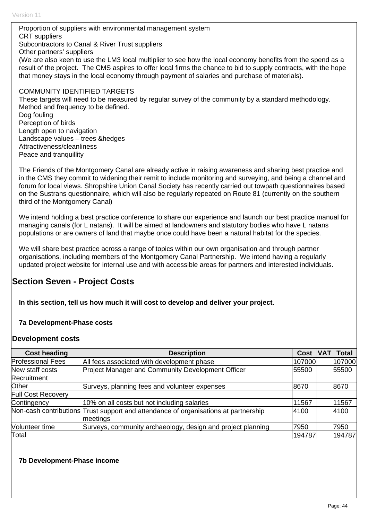Proportion of suppliers with environmental management system CRT suppliers Subcontractors to Canal & River Trust suppliers Other partners' suppliers (We are also keen to use the LM3 local multiplier to see how the local economy benefits from the spend as a result of the project. The CMS aspires to offer local firms the chance to bid to supply contracts, with the hope that money stays in the local economy through payment of salaries and purchase of materials). COMMUNITY IDENTIFIED TARGETS These targets will need to be measured by regular survey of the community by a standard methodology. Method and frequency to be defined.

Dog fouling Perception of birds Length open to navigation Landscape values – trees &hedges Attractiveness/cleanliness Peace and tranquillity

The Friends of the Montgomery Canal are already active in raising awareness and sharing best practice and in the CMS they commit to widening their remit to include monitoring and surveying, and being a channel and forum for local views. Shropshire Union Canal Society has recently carried out towpath questionnaires based on the Sustrans questionnaire, which will also be regularly repeated on Route 81 (currently on the southern third of the Montgomery Canal)

We intend holding a best practice conference to share our experience and launch our best practice manual for managing canals (for L natans). It will be aimed at landowners and statutory bodies who have L natans populations or are owners of land that maybe once could have been a natural habitat for the species.

We will share best practice across a range of topics within our own organisation and through partner organisations, including members of the Montgomery Canal Partnership. We intend having a regularly updated project website for internal use and with accessible areas for partners and interested individuals.

# **Section Seven - Project Costs**

**In this section, tell us how much it will cost to develop and deliver your project.** 

## **7a Development-Phase costs**

## **Development costs**

| <b>Cost heading</b>      | <b>Description</b>                                                                              | Cost   | <b>Total</b> |
|--------------------------|-------------------------------------------------------------------------------------------------|--------|--------------|
| <b>Professional Fees</b> | All fees associated with development phase                                                      | 107000 | 107000       |
| New staff costs          | <b>Project Manager and Community Development Officer</b>                                        | 55500  | 55500        |
| Recruitment              |                                                                                                 |        |              |
| Other                    | Surveys, planning fees and volunteer expenses                                                   | 8670   | 8670         |
| Full Cost Recovery       |                                                                                                 |        |              |
| Contingency              | 10% on all costs but not including salaries                                                     | 11567  | 11567        |
|                          | Non-cash contributions Trust support and attendance of organisations at partnership<br>meetings | 4100   | 4100         |
| Volunteer time           | Surveys, community archaeology, design and project planning                                     | 7950   | 7950         |
| Total                    |                                                                                                 | 194787 | 194787       |

## **7b Development-Phase income**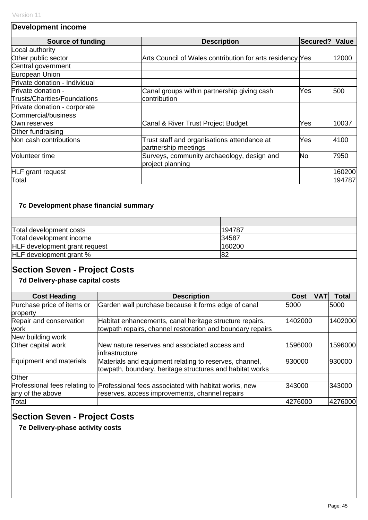| <b>Development income</b>     |                                                                     |          |        |
|-------------------------------|---------------------------------------------------------------------|----------|--------|
| <b>Source of funding</b>      | <b>Description</b>                                                  | Secured? | Value  |
| Local authority               |                                                                     |          |        |
| Other public sector           | Arts Council of Wales contribution for arts residency Yes           |          | 12000  |
| Central government            |                                                                     |          |        |
| European Union                |                                                                     |          |        |
| Private donation - Individual |                                                                     |          |        |
| Private donation -            | Canal groups within partnership giving cash                         | Yes      | 500    |
| Trusts/Charities/Foundations  | contribution                                                        |          |        |
| Private donation - corporate  |                                                                     |          |        |
| Commercial/business           |                                                                     |          |        |
| Own reserves                  | Canal & River Trust Project Budget                                  | Yes      | 10037  |
| Other fundraising             |                                                                     |          |        |
| Non cash contributions        | Trust staff and organisations attendance at<br>partnership meetings | Yes      | 4100   |
| Volunteer time                | Surveys, community archaeology, design and<br>project planning      | No       | 7950   |
| <b>HLF</b> grant request      |                                                                     |          | 160200 |
| Total                         |                                                                     |          | 194787 |

# **7c Development phase financial summary**

| Total development costs              | 194787 |
|--------------------------------------|--------|
| Total development income             | 34587  |
| <b>HLF</b> development grant request | 160200 |
| HLF development grant %              | 82     |

# **Section Seven - Project Costs**

# **7d Delivery-phase capital costs**

| <b>Cost Heading</b>        | <b>Description</b>                                                                 | Cost    | IVA' | <b>Total</b> |
|----------------------------|------------------------------------------------------------------------------------|---------|------|--------------|
|                            |                                                                                    |         |      |              |
| Purchase price of items or | Garden wall purchase because it forms edge of canal                                | 5000    |      | 5000         |
| property                   |                                                                                    |         |      |              |
| Repair and conservation    | Habitat enhancements, canal heritage structure repairs,                            | 1402000 |      | 1402000      |
| work                       | towpath repairs, channel restoration and boundary repairs                          |         |      |              |
| New building work          |                                                                                    |         |      |              |
| Other capital work         | New nature reserves and associated access and                                      | 1596000 |      | 1596000      |
|                            | linfrastructure                                                                    |         |      |              |
| Equipment and materials    | Materials and equipment relating to reserves, channel,                             | 930000  |      | 930000       |
|                            | towpath, boundary, heritage structures and habitat works                           |         |      |              |
| Other                      |                                                                                    |         |      |              |
|                            | Professional fees relating to Professional fees associated with habitat works, new | 343000  |      | 343000       |
| any of the above           | reserves, access improvements, channel repairs                                     |         |      |              |
| Total                      |                                                                                    | 4276000 |      | 4276000      |

# **Section Seven - Project Costs**

**7e Delivery-phase activity costs**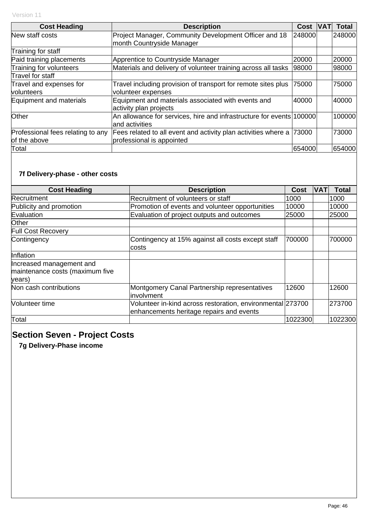| <b>Cost Heading</b>                               | <b>Description</b>                                                                          | Cost   | <b>IVATI</b> | <b>Total</b> |
|---------------------------------------------------|---------------------------------------------------------------------------------------------|--------|--------------|--------------|
| New staff costs                                   | Project Manager, Community Development Officer and 18<br>month Countryside Manager          | 248000 |              | 248000       |
| Training for staff                                |                                                                                             |        |              |              |
| Paid training placements                          | Apprentice to Countryside Manager                                                           | 20000  |              | 20000        |
| Training for volunteers                           | Materials and delivery of volunteer training across all tasks                               | 98000  |              | 98000        |
| Travel for staff                                  |                                                                                             |        |              |              |
| Travel and expenses for<br>volunteers             | Travel including provision of transport for remote sites plus<br>volunteer expenses         | 75000  |              | 75000        |
| Equipment and materials                           | Equipment and materials associated with events and<br>activity plan projects                | 40000  |              | 40000        |
| Other                                             | An allowance for services, hire and infrastructure for events 100000<br>and activities      |        |              | 100000       |
| Professional fees relating to any<br>of the above | Fees related to all event and activity plan activities where a<br>professional is appointed | 73000  |              | 73000        |
| Total                                             |                                                                                             | 654000 |              | 654000       |

# **7f Delivery-phase - other costs**

| <b>Cost Heading</b>                                                   | <b>Description</b>                                                                                     | Cost    | <b>VAT</b> | <b>Total</b> |
|-----------------------------------------------------------------------|--------------------------------------------------------------------------------------------------------|---------|------------|--------------|
| Recruitment                                                           | Recruitment of volunteers or staff                                                                     | 1000    |            | 1000         |
| Publicity and promotion                                               | Promotion of events and volunteer opportunities                                                        | 10000   |            | 10000        |
| Evaluation                                                            | Evaluation of project outputs and outcomes                                                             | 25000   |            | 25000        |
| Other                                                                 |                                                                                                        |         |            |              |
| <b>Full Cost Recovery</b>                                             |                                                                                                        |         |            |              |
| Contingency                                                           | Contingency at 15% against all costs except staff<br>costs                                             | 700000  |            | 700000       |
| Inflation                                                             |                                                                                                        |         |            |              |
| Increased management and<br>maintenance costs (maximum five<br>years) |                                                                                                        |         |            |              |
| Non cash contributions                                                | Montgomery Canal Partnership representatives<br>linvolvment                                            | 12600   |            | 12600        |
| <b>Volunteer time</b>                                                 | Volunteer in-kind across restoration, environmental 273700<br>enhancements heritage repairs and events |         |            | 273700       |
| Total                                                                 |                                                                                                        | 1022300 |            | 1022300      |

# **Section Seven - Project Costs**

**7g Delivery-Phase income**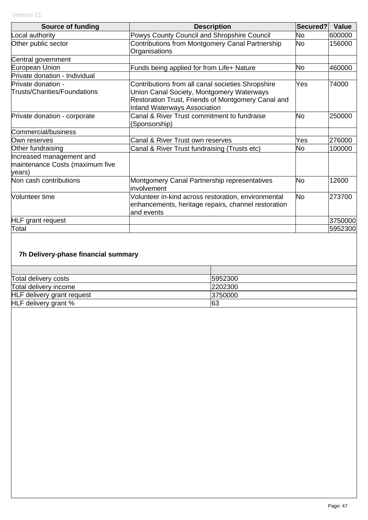| <b>Source of funding</b>        | <b>Description</b>                                  | Secured?  | Value   |
|---------------------------------|-----------------------------------------------------|-----------|---------|
| Local authority                 |                                                     | No        | 600000  |
|                                 | Powys County Council and Shropshire Council         |           |         |
| Other public sector             | Contributions from Montgomery Canal Partnership     | No        | 156000  |
|                                 | Organisations                                       |           |         |
| Central government              |                                                     |           |         |
| European Union                  | Funds being applied for from Life+ Nature           | No        | 460000  |
| Private donation - Individual   |                                                     |           |         |
| Private donation -              | Contributions from all canal societies Shropshire   | Yes       | 74000   |
| Trusts/Charities/Foundations    | Union Canal Society, Montgomery Waterways           |           |         |
|                                 | Restoration Trust, Friends of Montgomery Canal and  |           |         |
|                                 | <b>Inland Waterways Association</b>                 |           |         |
| Private donation - corporate    | Canal & River Trust commitment to fundraise         | No        | 250000  |
|                                 |                                                     |           |         |
|                                 | (Sponsorship)                                       |           |         |
| Commercial/business             |                                                     |           |         |
| Own reserves                    | Canal & River Trust own reserves                    | Yes       | 276000  |
| Other fundraising               | Canal & River Trust fundraising (Trusts etc)        | No        | 100000  |
| Increased management and        |                                                     |           |         |
| maintenance Costs (maximum five |                                                     |           |         |
| years)                          |                                                     |           |         |
| Non cash contributions          | Montgomery Canal Partnership representatives        | No        | 12600   |
|                                 | involvement                                         |           |         |
| Volunteer time                  | Volunteer in-kind across restoration, environmental | <b>No</b> | 273700  |
|                                 | enhancements, heritage repairs, channel restoration |           |         |
|                                 |                                                     |           |         |
|                                 | and events                                          |           |         |
| <b>HLF</b> grant request        |                                                     |           | 3750000 |
| Total                           |                                                     |           | 5952300 |

# **7h Delivery-phase financial summary**

| Total delivery costs       | 5952300 |
|----------------------------|---------|
| Total delivery income      | 2202300 |
| HLF delivery grant request | 3750000 |
| HLF delivery grant %       | 63      |
|                            |         |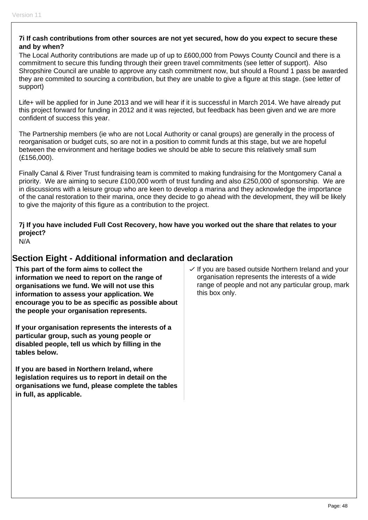#### **7i If cash contributions from other sources are not yet secured, how do you expect to secure these and by when?**

The Local Authority contributions are made up of up to £600,000 from Powys County Council and there is a commitment to secure this funding through their green travel commitments (see letter of support). Also Shropshire Council are unable to approve any cash commitment now, but should a Round 1 pass be awarded they are commited to sourcing a contribution, but they are unable to give a figure at this stage. (see letter of support)

Life+ will be applied for in June 2013 and we will hear if it is successful in March 2014. We have already put this project forward for funding in 2012 and it was rejected, but feedback has been given and we are more confident of success this year.

The Partnership members (ie who are not Local Authority or canal groups) are generally in the process of reorganisation or budget cuts, so are not in a position to commit funds at this stage, but we are hopeful between the environment and heritage bodies we should be able to secure this relatively small sum (£156,000).

Finally Canal & River Trust fundraising team is commited to making fundraising for the Montgomery Canal a priority. We are aiming to secure £100,000 worth of trust funding and also £250,000 of sponsorship. We are in discussions with a leisure group who are keen to develop a marina and they acknowledge the importance of the canal restoration to their marina, once they decide to go ahead with the development, they will be likely to give the majority of this figure as a contribution to the project.

# **7j If you have included Full Cost Recovery, how have you worked out the share that relates to your project?**

N/A

# **Section Eight - Additional information and declaration**

**This part of the form aims to collect the information we need to report on the range of organisations we fund. We will not use this information to assess your application. We encourage you to be as specific as possible about the people your organisation represents.** 

**If your organisation represents the interests of a particular group, such as young people or disabled people, tell us which by filling in the tables below.** 

**If you are based in Northern Ireland, where legislation requires us to report in detail on the organisations we fund, please complete the tables in full, as applicable.** 

 $\vee$  If you are based outside Northern Ireland and your organisation represents the interests of a wide range of people and not any particular group, mark this box only.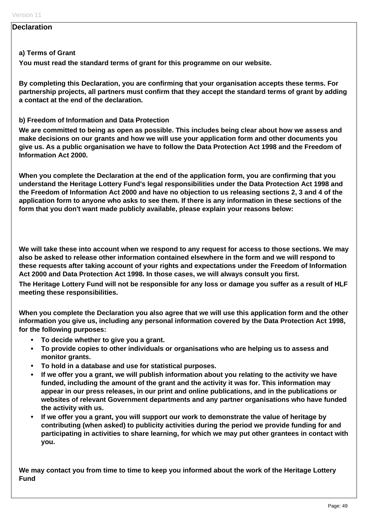#### **Declaration**

#### **a) Terms of Grant**

**You must read the standard terms of grant for this programme on our website.** 

**By completing this Declaration, you are confirming that your organisation accepts these terms. For partnership projects, all partners must confirm that they accept the standard terms of grant by adding a contact at the end of the declaration.** 

#### **b) Freedom of Information and Data Protection**

**We are committed to being as open as possible. This includes being clear about how we assess and make decisions on our grants and how we will use your application form and other documents you give us. As a public organisation we have to follow the Data Protection Act 1998 and the Freedom of Information Act 2000.** 

**When you complete the Declaration at the end of the application form, you are confirming that you understand the Heritage Lottery Fund's legal responsibilities under the Data Protection Act 1998 and the Freedom of Information Act 2000 and have no objection to us releasing sections 2, 3 and 4 of the application form to anyone who asks to see them. If there is any information in these sections of the form that you don't want made publicly available, please explain your reasons below:** 

**We will take these into account when we respond to any request for access to those sections. We may also be asked to release other information contained elsewhere in the form and we will respond to these requests after taking account of your rights and expectations under the Freedom of Information Act 2000 and Data Protection Act 1998. In those cases, we will always consult you first.** 

**The Heritage Lottery Fund will not be responsible for any loss or damage you suffer as a result of HLF meeting these responsibilities.** 

**When you complete the Declaration you also agree that we will use this application form and the other information you give us, including any personal information covered by the Data Protection Act 1998, for the following purposes:** 

- **To decide whether to give you a grant.**
- **To provide copies to other individuals or organisations who are helping us to assess and monitor grants.**
- **To hold in a database and use for statistical purposes.**
- **If we offer you a grant, we will publish information about you relating to the activity we have funded, including the amount of the grant and the activity it was for. This information may appear in our press releases, in our print and online publications, and in the publications or websites of relevant Government departments and any partner organisations who have funded the activity with us.**
- **If we offer you a grant, you will support our work to demonstrate the value of heritage by contributing (when asked) to publicity activities during the period we provide funding for and participating in activities to share learning, for which we may put other grantees in contact with you.**

**We may contact you from time to time to keep you informed about the work of the Heritage Lottery Fund**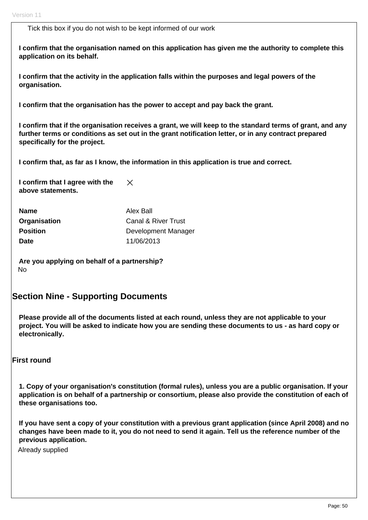Tick this box if you do not wish to be kept informed of our work

**I confirm that the organisation named on this application has given me the authority to complete this application on its behalf.** 

**I confirm that the activity in the application falls within the purposes and legal powers of the organisation.** 

**I confirm that the organisation has the power to accept and pay back the grant.** 

**I confirm that if the organisation receives a grant, we will keep to the standard terms of grant, and any further terms or conditions as set out in the grant notification letter, or in any contract prepared specifically for the project.** 

**I confirm that, as far as I know, the information in this application is true and correct.** 

**I confirm that I agree with the**   $\times$ **above statements.** 

| <b>Name</b>     | Alex Ball           |
|-----------------|---------------------|
| Organisation    | Canal & River Trust |
| <b>Position</b> | Development Manager |
| <b>Date</b>     | 11/06/2013          |

**Are you applying on behalf of a partnership?**  No

## **Section Nine - Supporting Documents**

**Please provide all of the documents listed at each round, unless they are not applicable to your project. You will be asked to indicate how you are sending these documents to us - as hard copy or electronically.** 

#### **First round**

**1. Copy of your organisation's constitution (formal rules), unless you are a public organisation. If your application is on behalf of a partnership or consortium, please also provide the constitution of each of these organisations too.** 

**If you have sent a copy of your constitution with a previous grant application (since April 2008) and no changes have been made to it, you do not need to send it again. Tell us the reference number of the previous application.** 

Already supplied